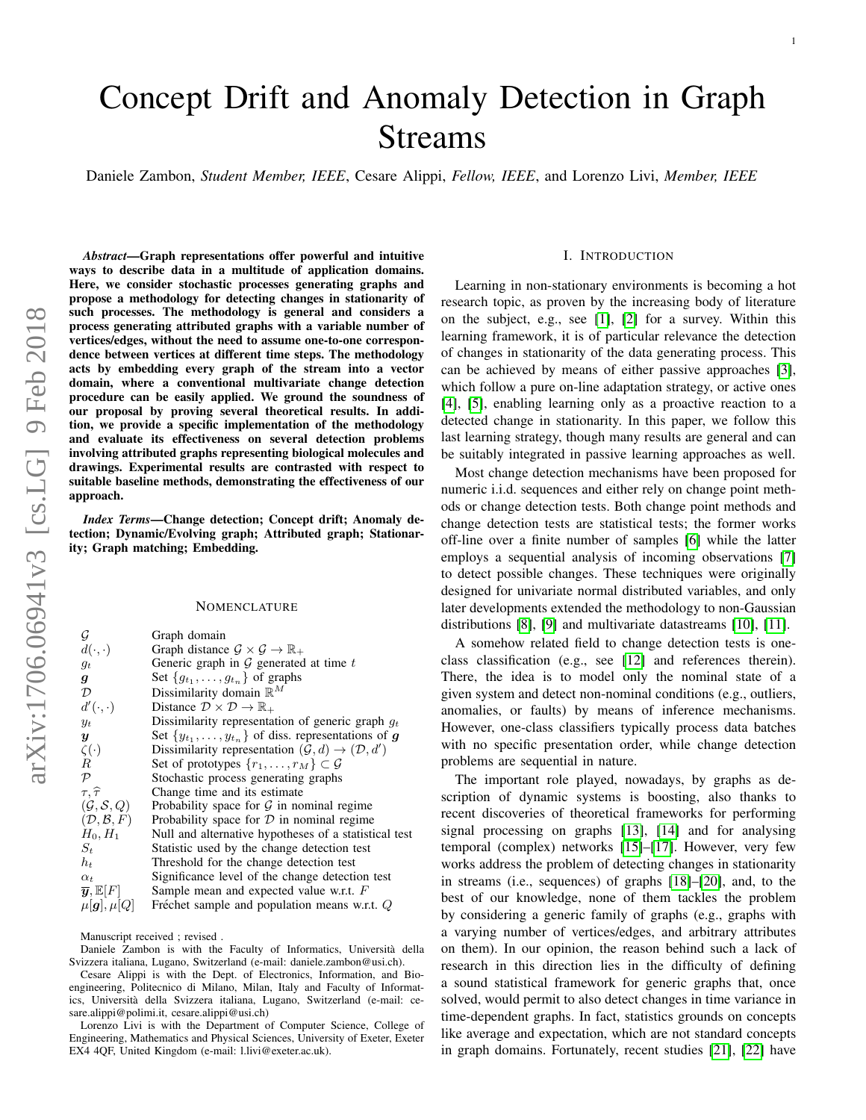# Concept Drift and Anomaly Detection in Graph Streams

Daniele Zambon, *Student Member, IEEE*, Cesare Alippi, *Fellow, IEEE*, and Lorenzo Livi, *Member, IEEE*

*Abstract*—Graph representations offer powerful and intuitive ways to describe data in a multitude of application domains. Here, we consider stochastic processes generating graphs and propose a methodology for detecting changes in stationarity of such processes. The methodology is general and considers a process generating attributed graphs with a variable number of vertices/edges, without the need to assume one-to-one correspondence between vertices at different time steps. The methodology acts by embedding every graph of the stream into a vector domain, where a conventional multivariate change detection procedure can be easily applied. We ground the soundness of our proposal by proving several theoretical results. In addition, we provide a specific implementation of the methodology and evaluate its effectiveness on several detection problems involving attributed graphs representing biological molecules and drawings. Experimental results are contrasted with respect to suitable baseline methods, demonstrating the effectiveness of our approach.

*Index Terms*—Change detection; Concept drift; Anomaly detection; Dynamic/Evolving graph; Attributed graph; Stationarity; Graph matching; Embedding.

#### **NOMENCLATURE**

| G                                         | Graph domain                                                                  |
|-------------------------------------------|-------------------------------------------------------------------------------|
| $d(\cdot,\cdot)$                          | Graph distance $\mathcal{G} \times \mathcal{G} \to \mathbb{R}_+$              |
| $g_t$                                     | Generic graph in $G$ generated at time $t$                                    |
| g                                         | Set $\{g_{t_1}, \ldots, g_{t_n}\}\$ of graphs                                 |
| $\mathcal{D}$                             | Dissimilarity domain $\mathbb{R}^M$                                           |
| $d'(\cdot,\cdot)$                         | Distance $\mathcal{D} \times \mathcal{D} \rightarrow \mathbb{R}_+$            |
| $y_t$                                     | Dissimilarity representation of generic graph $g_t$                           |
| $\boldsymbol{y}$                          | Set $\{y_{t_1}, \ldots, y_{t_n}\}\$ of diss. representations of g             |
| $\zeta(\cdot)$                            | Dissimilarity representation $(\mathcal{G}, d) \rightarrow (\mathcal{D}, d')$ |
| $\boldsymbol{R}$                          | Set of prototypes $\{r_1, \ldots, r_M\} \subset \mathcal{G}$                  |
| $\mathcal{P}$                             | Stochastic process generating graphs                                          |
| $\tau, \widehat{\tau}$                    | Change time and its estimate                                                  |
| $(\mathcal{G}, \mathcal{S}, Q)$           | Probability space for $G$ in nominal regime                                   |
| $(D, \mathcal{B}, F)$                     | Probability space for $D$ in nominal regime                                   |
| $H_0, H_1$                                | Null and alternative hypotheses of a statistical test                         |
| $S_t$                                     | Statistic used by the change detection test                                   |
| $h_t$                                     | Threshold for the change detection test                                       |
| $\alpha_t$                                | Significance level of the change detection test                               |
| $\overline{\boldsymbol{y}},\mathbb{E}[F]$ | Sample mean and expected value w.r.t. $F$                                     |
| $\mu[g], \mu[Q]$                          | Fréchet sample and population means w.r.t. $Q$                                |
|                                           |                                                                               |

Manuscript received ; revised .

Daniele Zambon is with the Faculty of Informatics, Universita della ` Svizzera italiana, Lugano, Switzerland (e-mail: daniele.zambon@usi.ch).

Cesare Alippi is with the Dept. of Electronics, Information, and Bioengineering, Politecnico di Milano, Milan, Italy and Faculty of Informatics, Universita della Svizzera italiana, Lugano, Switzerland (e-mail: ce- ` sare.alippi@polimi.it, cesare.alippi@usi.ch)

Lorenzo Livi is with the Department of Computer Science, College of Engineering, Mathematics and Physical Sciences, University of Exeter, Exeter EX4 4QF, United Kingdom (e-mail: l.livi@exeter.ac.uk).

## I. INTRODUCTION

Learning in non-stationary environments is becoming a hot research topic, as proven by the increasing body of literature on the subject, e.g., see [\[1\]](#page-12-0), [\[2\]](#page-12-1) for a survey. Within this learning framework, it is of particular relevance the detection of changes in stationarity of the data generating process. This can be achieved by means of either passive approaches [\[3\]](#page-12-2), which follow a pure on-line adaptation strategy, or active ones [\[4\]](#page-12-3), [\[5\]](#page-12-4), enabling learning only as a proactive reaction to a detected change in stationarity. In this paper, we follow this last learning strategy, though many results are general and can be suitably integrated in passive learning approaches as well.

Most change detection mechanisms have been proposed for numeric i.i.d. sequences and either rely on change point methods or change detection tests. Both change point methods and change detection tests are statistical tests; the former works off-line over a finite number of samples [\[6\]](#page-12-5) while the latter employs a sequential analysis of incoming observations [\[7\]](#page-12-6) to detect possible changes. These techniques were originally designed for univariate normal distributed variables, and only later developments extended the methodology to non-Gaussian distributions [\[8\]](#page-12-7), [\[9\]](#page-12-8) and multivariate datastreams [\[10\]](#page-12-9), [\[11\]](#page-12-10).

A somehow related field to change detection tests is oneclass classification (e.g., see [\[12\]](#page-12-11) and references therein). There, the idea is to model only the nominal state of a given system and detect non-nominal conditions (e.g., outliers, anomalies, or faults) by means of inference mechanisms. However, one-class classifiers typically process data batches with no specific presentation order, while change detection problems are sequential in nature.

The important role played, nowadays, by graphs as description of dynamic systems is boosting, also thanks to recent discoveries of theoretical frameworks for performing signal processing on graphs [\[13\]](#page-12-12), [\[14\]](#page-12-13) and for analysing temporal (complex) networks [\[15\]](#page-12-14)–[\[17\]](#page-12-15). However, very few works address the problem of detecting changes in stationarity in streams (i.e., sequences) of graphs [\[18\]](#page-12-16)–[\[20\]](#page-12-17), and, to the best of our knowledge, none of them tackles the problem by considering a generic family of graphs (e.g., graphs with a varying number of vertices/edges, and arbitrary attributes on them). In our opinion, the reason behind such a lack of research in this direction lies in the difficulty of defining a sound statistical framework for generic graphs that, once solved, would permit to also detect changes in time variance in time-dependent graphs. In fact, statistics grounds on concepts like average and expectation, which are not standard concepts in graph domains. Fortunately, recent studies [\[21\]](#page-12-18), [\[22\]](#page-12-19) have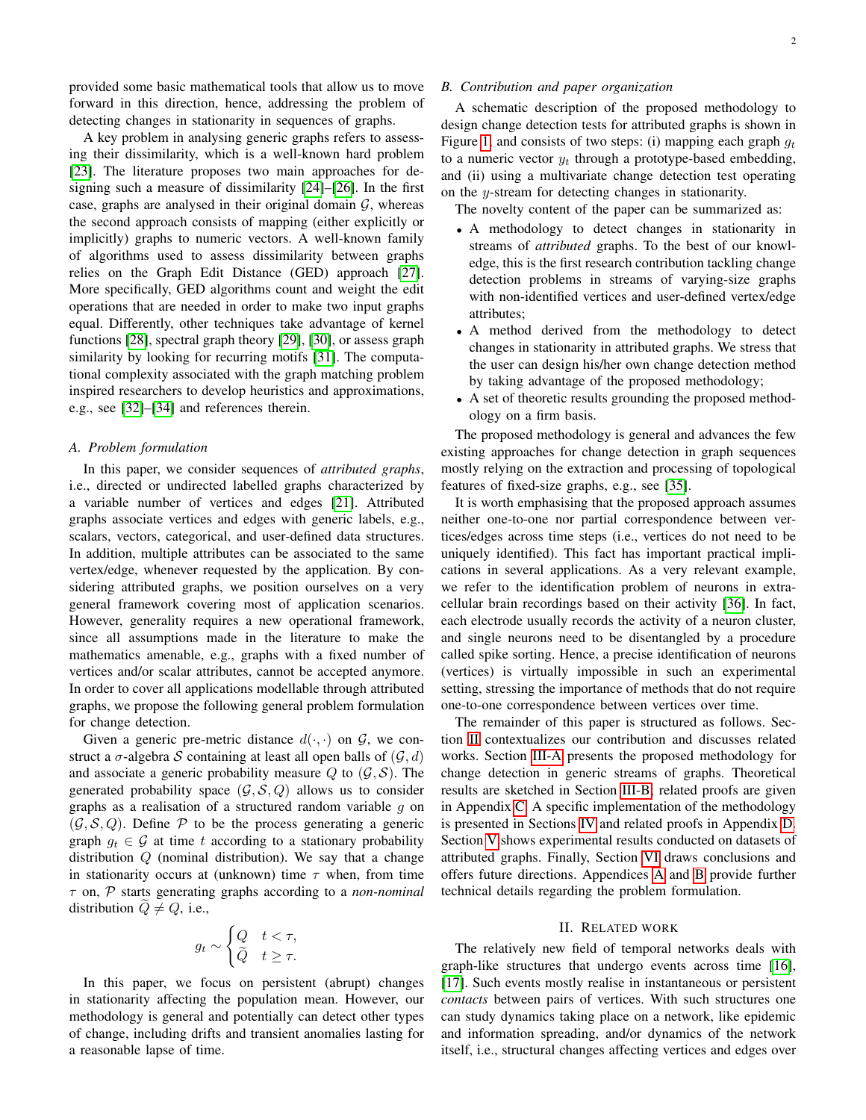provided some basic mathematical tools that allow us to move forward in this direction, hence, addressing the problem of detecting changes in stationarity in sequences of graphs.

A key problem in analysing generic graphs refers to assessing their dissimilarity, which is a well-known hard problem [\[23\]](#page-12-20). The literature proposes two main approaches for designing such a measure of dissimilarity [\[24\]](#page-12-21)–[\[26\]](#page-12-22). In the first case, graphs are analysed in their original domain  $G$ , whereas the second approach consists of mapping (either explicitly or implicitly) graphs to numeric vectors. A well-known family of algorithms used to assess dissimilarity between graphs relies on the Graph Edit Distance (GED) approach [\[27\]](#page-12-23). More specifically, GED algorithms count and weight the edit operations that are needed in order to make two input graphs equal. Differently, other techniques take advantage of kernel functions [\[28\]](#page-12-24), spectral graph theory [\[29\]](#page-12-25), [\[30\]](#page-12-26), or assess graph similarity by looking for recurring motifs [\[31\]](#page-12-27). The computational complexity associated with the graph matching problem inspired researchers to develop heuristics and approximations, e.g., see [\[32\]](#page-12-28)–[\[34\]](#page-12-29) and references therein.

#### <span id="page-1-1"></span>*A. Problem formulation*

In this paper, we consider sequences of *attributed graphs*, i.e., directed or undirected labelled graphs characterized by a variable number of vertices and edges [\[21\]](#page-12-18). Attributed graphs associate vertices and edges with generic labels, e.g., scalars, vectors, categorical, and user-defined data structures. In addition, multiple attributes can be associated to the same vertex/edge, whenever requested by the application. By considering attributed graphs, we position ourselves on a very general framework covering most of application scenarios. However, generality requires a new operational framework, since all assumptions made in the literature to make the mathematics amenable, e.g., graphs with a fixed number of vertices and/or scalar attributes, cannot be accepted anymore. In order to cover all applications modellable through attributed graphs, we propose the following general problem formulation for change detection.

Given a generic pre-metric distance  $d(\cdot, \cdot)$  on  $\mathcal{G}$ , we construct a  $\sigma$ -algebra S containing at least all open balls of  $(G, d)$ and associate a generic probability measure Q to  $(G, S)$ . The generated probability space  $(\mathcal{G}, \mathcal{S}, Q)$  allows us to consider graphs as a realisation of a structured random variable  $g$  on  $(\mathcal{G}, \mathcal{S}, Q)$ . Define P to be the process generating a generic graph  $g_t \in \mathcal{G}$  at time t according to a stationary probability distribution Q (nominal distribution). We say that a change in stationarity occurs at (unknown) time  $\tau$  when, from time τ on, P starts generating graphs according to a *non-nominal* distribution  $\ddot{Q} \neq Q$ , i.e.,

$$
g_t \sim \begin{cases} Q & t < \tau, \\ \widetilde{Q} & t \geq \tau. \end{cases}
$$

In this paper, we focus on persistent (abrupt) changes in stationarity affecting the population mean. However, our methodology is general and potentially can detect other types of change, including drifts and transient anomalies lasting for a reasonable lapse of time.

# *B. Contribution and paper organization*

A schematic description of the proposed methodology to design change detection tests for attributed graphs is shown in Figure [1,](#page-3-0) and consists of two steps: (i) mapping each graph  $q_t$ to a numeric vector  $y_t$  through a prototype-based embedding, and (ii) using a multivariate change detection test operating on the y-stream for detecting changes in stationarity.

The novelty content of the paper can be summarized as:

- A methodology to detect changes in stationarity in streams of *attributed* graphs. To the best of our knowledge, this is the first research contribution tackling change detection problems in streams of varying-size graphs with non-identified vertices and user-defined vertex/edge attributes;
- A method derived from the methodology to detect changes in stationarity in attributed graphs. We stress that the user can design his/her own change detection method by taking advantage of the proposed methodology;
- A set of theoretic results grounding the proposed methodology on a firm basis.

The proposed methodology is general and advances the few existing approaches for change detection in graph sequences mostly relying on the extraction and processing of topological features of fixed-size graphs, e.g., see [\[35\]](#page-12-30).

It is worth emphasising that the proposed approach assumes neither one-to-one nor partial correspondence between vertices/edges across time steps (i.e., vertices do not need to be uniquely identified). This fact has important practical implications in several applications. As a very relevant example, we refer to the identification problem of neurons in extracellular brain recordings based on their activity [\[36\]](#page-12-31). In fact, each electrode usually records the activity of a neuron cluster, and single neurons need to be disentangled by a procedure called spike sorting. Hence, a precise identification of neurons (vertices) is virtually impossible in such an experimental setting, stressing the importance of methods that do not require one-to-one correspondence between vertices over time.

The remainder of this paper is structured as follows. Section [II](#page-1-0) contextualizes our contribution and discusses related works. Section [III-A](#page-2-0) presents the proposed methodology for change detection in generic streams of graphs. Theoretical results are sketched in Section [III-B;](#page-3-1) related proofs are given in Appendix [C.](#page-10-0) A specific implementation of the methodology is presented in Sections [IV](#page-4-0) and related proofs in Appendix [D.](#page-11-0) Section [V](#page-6-0) shows experimental results conducted on datasets of attributed graphs. Finally, Section [VI](#page-7-0) draws conclusions and offers future directions. Appendices [A](#page-9-0) and [B](#page-9-1) provide further technical details regarding the problem formulation.

# II. RELATED WORK

<span id="page-1-0"></span>The relatively new field of temporal networks deals with graph-like structures that undergo events across time [\[16\]](#page-12-32), [\[17\]](#page-12-15). Such events mostly realise in instantaneous or persistent *contacts* between pairs of vertices. With such structures one can study dynamics taking place on a network, like epidemic and information spreading, and/or dynamics of the network itself, i.e., structural changes affecting vertices and edges over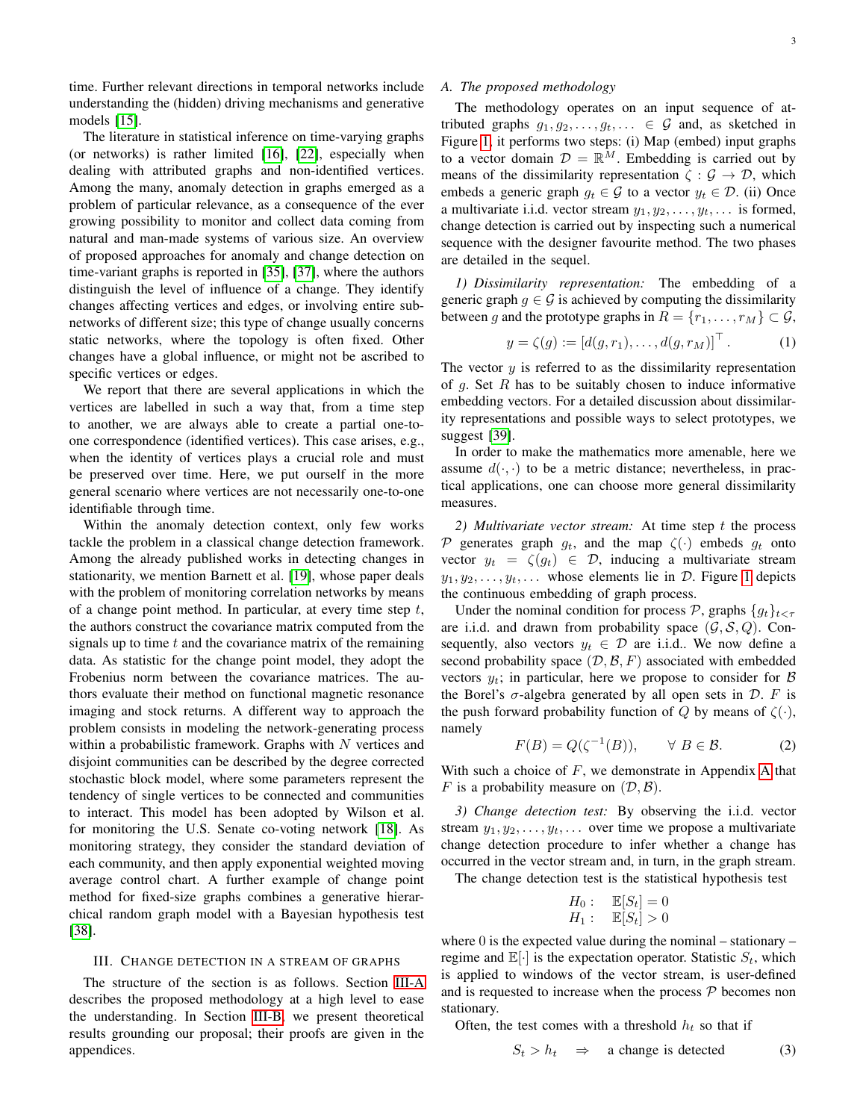time. Further relevant directions in temporal networks include understanding the (hidden) driving mechanisms and generative models [\[15\]](#page-12-14).

The literature in statistical inference on time-varying graphs (or networks) is rather limited [\[16\]](#page-12-32), [\[22\]](#page-12-19), especially when dealing with attributed graphs and non-identified vertices. Among the many, anomaly detection in graphs emerged as a problem of particular relevance, as a consequence of the ever growing possibility to monitor and collect data coming from natural and man-made systems of various size. An overview of proposed approaches for anomaly and change detection on time-variant graphs is reported in [\[35\]](#page-12-30), [\[37\]](#page-12-33), where the authors distinguish the level of influence of a change. They identify changes affecting vertices and edges, or involving entire subnetworks of different size; this type of change usually concerns static networks, where the topology is often fixed. Other changes have a global influence, or might not be ascribed to specific vertices or edges.

We report that there are several applications in which the vertices are labelled in such a way that, from a time step to another, we are always able to create a partial one-toone correspondence (identified vertices). This case arises, e.g., when the identity of vertices plays a crucial role and must be preserved over time. Here, we put ourself in the more general scenario where vertices are not necessarily one-to-one identifiable through time.

Within the anomaly detection context, only few works tackle the problem in a classical change detection framework. Among the already published works in detecting changes in stationarity, we mention Barnett et al. [\[19\]](#page-12-34), whose paper deals with the problem of monitoring correlation networks by means of a change point method. In particular, at every time step  $t$ , the authors construct the covariance matrix computed from the signals up to time  $t$  and the covariance matrix of the remaining data. As statistic for the change point model, they adopt the Frobenius norm between the covariance matrices. The authors evaluate their method on functional magnetic resonance imaging and stock returns. A different way to approach the problem consists in modeling the network-generating process within a probabilistic framework. Graphs with  $N$  vertices and disjoint communities can be described by the degree corrected stochastic block model, where some parameters represent the tendency of single vertices to be connected and communities to interact. This model has been adopted by Wilson et al. for monitoring the U.S. Senate co-voting network [\[18\]](#page-12-16). As monitoring strategy, they consider the standard deviation of each community, and then apply exponential weighted moving average control chart. A further example of change point method for fixed-size graphs combines a generative hierarchical random graph model with a Bayesian hypothesis test [\[38\]](#page-12-35).

#### III. CHANGE DETECTION IN A STREAM OF GRAPHS

The structure of the section is as follows. Section [III-A](#page-2-0) describes the proposed methodology at a high level to ease the understanding. In Section [III-B,](#page-3-1) we present theoretical results grounding our proposal; their proofs are given in the appendices.

# <span id="page-2-0"></span>*A. The proposed methodology*

The methodology operates on an input sequence of attributed graphs  $g_1, g_2, \ldots, g_t, \ldots \in \mathcal{G}$  and, as sketched in Figure [1,](#page-3-0) it performs two steps: (i) Map (embed) input graphs to a vector domain  $\mathcal{D} = \mathbb{R}^M$ . Embedding is carried out by means of the dissimilarity representation  $\zeta : \mathcal{G} \to \mathcal{D}$ , which embeds a generic graph  $q_t \in \mathcal{G}$  to a vector  $y_t \in \mathcal{D}$ . (ii) Once a multivariate i.i.d. vector stream  $y_1, y_2, \ldots, y_t, \ldots$  is formed, change detection is carried out by inspecting such a numerical sequence with the designer favourite method. The two phases are detailed in the sequel.

*1) Dissimilarity representation:* The embedding of a generic graph  $g \in \mathcal{G}$  is achieved by computing the dissimilarity between g and the prototype graphs in  $R = \{r_1, \ldots, r_M\} \subset \mathcal{G}$ ,

<span id="page-2-5"></span>
$$
y = \zeta(g) := [d(g, r_1), \dots, d(g, r_M)]^\top
$$
. (1)

The vector  $y$  is referred to as the dissimilarity representation of q. Set  $R$  has to be suitably chosen to induce informative embedding vectors. For a detailed discussion about dissimilarity representations and possible ways to select prototypes, we suggest [\[39\]](#page-12-36).

In order to make the mathematics more amenable, here we assume  $d(\cdot, \cdot)$  to be a metric distance; nevertheless, in practical applications, one can choose more general dissimilarity measures.

<span id="page-2-3"></span>*2) Multivariate vector stream:* At time step t the process P generates graph  $g_t$ , and the map  $\zeta(\cdot)$  embeds  $g_t$  onto vector  $y_t = \zeta(g_t) \in \mathcal{D}$ , inducing a multivariate stream  $y_1, y_2, \ldots, y_t, \ldots$  whose elements lie in D. Figure [1](#page-3-0) depicts the continuous embedding of graph process.

Under the nominal condition for process P, graphs  ${g_t}_{t \leq \tau}$ are i.i.d. and drawn from probability space  $(G, S, Q)$ . Consequently, also vectors  $y_t \in \mathcal{D}$  are i.i.d.. We now define a second probability space  $(D, \mathcal{B}, F)$  associated with embedded vectors  $y_t$ ; in particular, here we propose to consider for  $\beta$ the Borel's  $\sigma$ -algebra generated by all open sets in  $\mathcal{D}$ . F is the push forward probability function of Q by means of  $\zeta(\cdot)$ , namely

<span id="page-2-4"></span>
$$
F(B) = Q(\zeta^{-1}(B)), \qquad \forall \ B \in \mathcal{B}.
$$
 (2)

With such a choice of  $F$ , we demonstrate in [A](#page-9-0)ppendix A that F is a probability measure on  $(D, \mathcal{B})$ .

<span id="page-2-2"></span>*3) Change detection test:* By observing the i.i.d. vector stream  $y_1, y_2, \ldots, y_t, \ldots$  over time we propose a multivariate change detection procedure to infer whether a change has occurred in the vector stream and, in turn, in the graph stream.

The change detection test is the statistical hypothesis test

$$
H_0: \quad \mathbb{E}[S_t] = 0
$$
  

$$
H_1: \quad \mathbb{E}[S_t] > 0
$$

where  $0$  is the expected value during the nominal – stationary – regime and  $\mathbb{E}[\cdot]$  is the expectation operator. Statistic  $S_t$ , which is applied to windows of the vector stream, is user-defined and is requested to increase when the process  $P$  becomes non stationary.

Often, the test comes with a threshold  $h_t$  so that if

<span id="page-2-1"></span>
$$
S_t > h_t \quad \Rightarrow \quad \text{a change is detected} \tag{3}
$$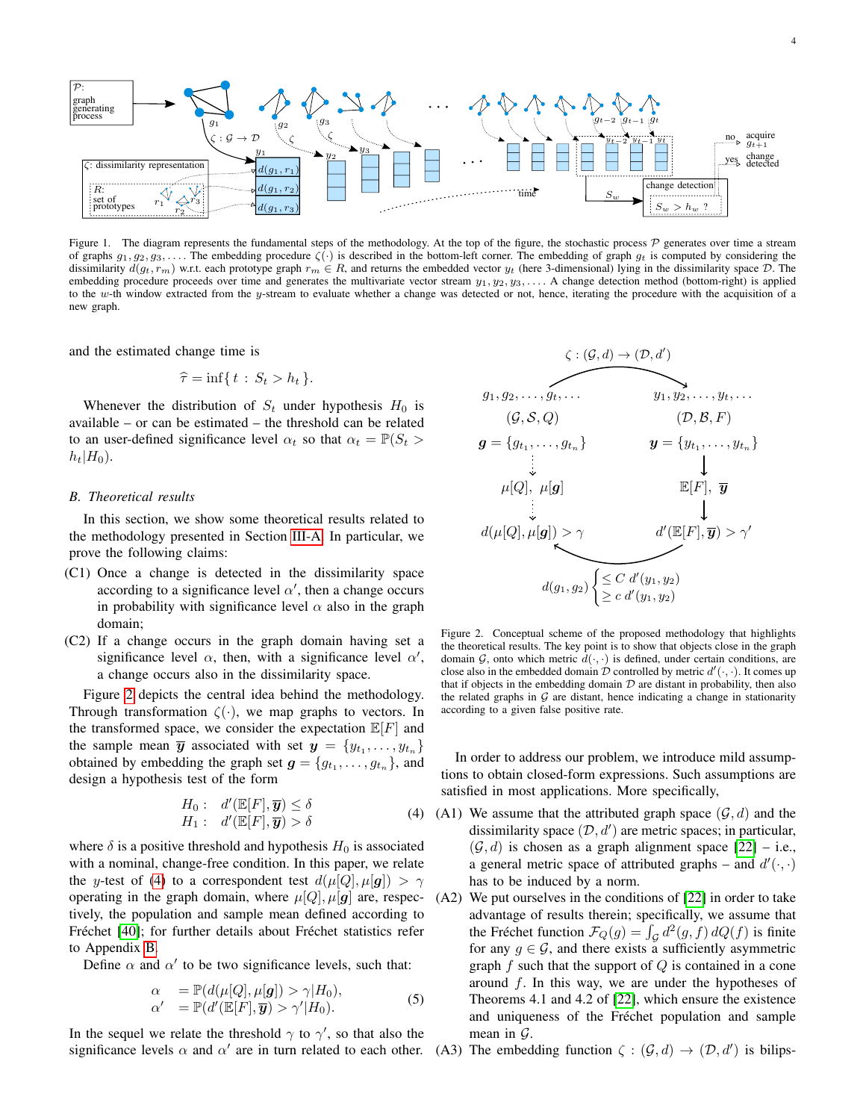

<span id="page-3-0"></span>Figure 1. The diagram represents the fundamental steps of the methodology. At the top of the figure, the stochastic process  $P$  generates over time a stream of graphs  $g_1, g_2, g_3, \ldots$ . The embedding procedure  $\zeta(\cdot)$  is described in the bottom-left corner. The embedding of graph  $g_t$  is computed by considering the dissimilarity  $d(g_t, r_m)$  w.r.t. each prototype graph  $r_m \in R$ , and returns the embedded vector  $y_t$  (here 3-dimensional) lying in the dissimilarity space D. The embedding procedure proceeds over time and generates the multivariate vector stream  $y_1, y_2, y_3, \ldots$ . A change detection method (bottom-right) is applied to the w-th window extracted from the  $y$ -stream to evaluate whether a change was detected or not, hence, iterating the procedure with the acquisition of a new graph.

and the estimated change time is

$$
\widehat{\tau} = \inf\{t : S_t > h_t\}.
$$

Whenever the distribution of  $S_t$  under hypothesis  $H_0$  is available – or can be estimated – the threshold can be related to an user-defined significance level  $\alpha_t$  so that  $\alpha_t = \mathbb{P}(S_t >$  $h_t|H_0$ .

### <span id="page-3-1"></span>*B. Theoretical results*

In this section, we show some theoretical results related to the methodology presented in Section [III-A.](#page-2-0) In particular, we prove the following claims:

- (C1) Once a change is detected in the dissimilarity space according to a significance level  $\alpha'$ , then a change occurs in probability with significance level  $\alpha$  also in the graph domain;
- (C2) If a change occurs in the graph domain having set a significance level  $\alpha$ , then, with a significance level  $\alpha'$ , a change occurs also in the dissimilarity space.

Figure [2](#page-3-2) depicts the central idea behind the methodology. Through transformation  $\zeta(\cdot)$ , we map graphs to vectors. In the transformed space, we consider the expectation  $\mathbb{E}[F]$  and the sample mean  $\overline{y}$  associated with set  $y = \{y_{t_1}, \ldots, y_{t_n}\}\$ obtained by embedding the graph set  $g = \{g_{t_1}, \ldots, g_{t_n}\}\$ , and design a hypothesis test of the form

<span id="page-3-3"></span>
$$
H_0: d'(\mathbb{E}[F], \overline{y}) \le \delta
$$
  
\n
$$
H_1: d'(\mathbb{E}[F], \overline{y}) > \delta
$$
\n(4)

where  $\delta$  is a positive threshold and hypothesis  $H_0$  is associated with a nominal, change-free condition. In this paper, we relate the y-test of [\(4\)](#page-3-3) to a correspondent test  $d(\mu[Q], \mu[g]) > \gamma$ operating in the graph domain, where  $\mu[Q], \mu[g]$  are, respectively, the population and sample mean defined according to Fréchet [\[40\]](#page-13-0); for further details about Fréchet statistics refer to Appendix [B.](#page-9-1)

Define  $\alpha$  and  $\alpha'$  to be two significance levels, such that:

<span id="page-3-4"></span>
$$
\alpha = \mathbb{P}(d(\mu[Q], \mu[g]) > \gamma | H_0),
$$
  
\n
$$
\alpha' = \mathbb{P}(d'(\mathbb{E}[F], \overline{\mathbf{y}}) > \gamma' | H_0).
$$
\n(5)

In the sequel we relate the threshold  $\gamma$  to  $\gamma'$ , so that also the significance levels  $\alpha$  and  $\alpha'$  are in turn related to each other. (A3) The embedding function  $\zeta : (\mathcal{G}, d) \to (\mathcal{D}, d')$  is bilips-



<span id="page-3-2"></span>Figure 2. Conceptual scheme of the proposed methodology that highlights the theoretical results. The key point is to show that objects close in the graph domain  $G$ , onto which metric  $d(\cdot, \cdot)$  is defined, under certain conditions, are close also in the embedded domain  $\mathcal D$  controlled by metric  $d'(\cdot, \cdot)$ . It comes up that if objects in the embedding domain  $D$  are distant in probability, then also the related graphs in  $G$  are distant, hence indicating a change in stationarity according to a given false positive rate.

In order to address our problem, we introduce mild assumptions to obtain closed-form expressions. Such assumptions are satisfied in most applications. More specifically,

- (A1) We assume that the attributed graph space  $(G, d)$  and the dissimilarity space  $(D, d')$  are metric spaces; in particular,  $(G, d)$  is chosen as a graph alignment space [\[22\]](#page-12-19) – i.e., a general metric space of attributed graphs – and  $d'(\cdot, \cdot)$ has to be induced by a norm.
- (A2) We put ourselves in the conditions of [\[22\]](#page-12-19) in order to take advantage of results therein; specifically, we assume that the Fréchet function  $\mathcal{F}_Q(g) = \int_{\mathcal{G}} d^2(g, f) dQ(f)$  is finite for any  $g \in \mathcal{G}$ , and there exists a sufficiently asymmetric graph  $f$  such that the support of  $Q$  is contained in a cone around  $f$ . In this way, we are under the hypotheses of Theorems 4.1 and 4.2 of [\[22\]](#page-12-19), which ensure the existence and uniqueness of the Fréchet population and sample mean in  $\mathcal{G}$ .
-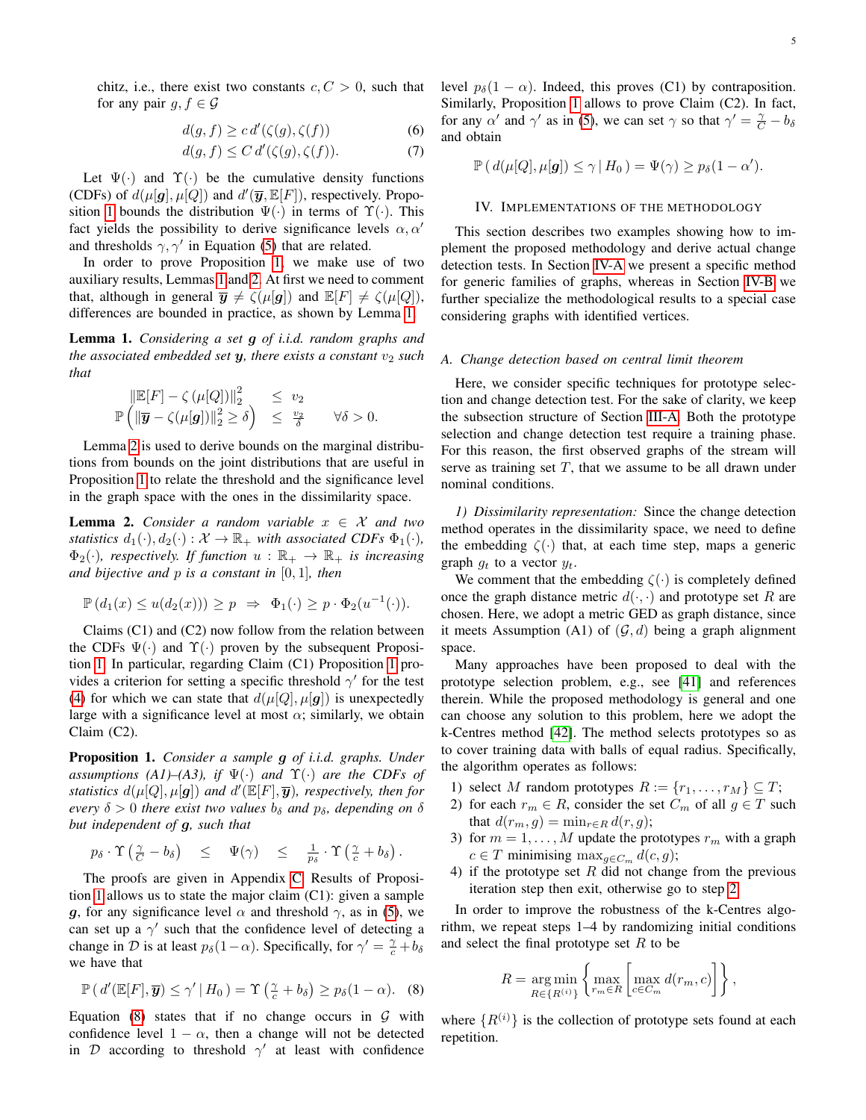chitz, i.e., there exist two constants  $c, C > 0$ , such that for any pair  $g, f \in \mathcal{G}$ 

$$
d(g, f) \ge c d'(\zeta(g), \zeta(f)) \tag{6}
$$

$$
d(g, f) \le C d'(\zeta(g), \zeta(f)).\tag{7}
$$

Let  $\Psi(\cdot)$  and  $\Upsilon(\cdot)$  be the cumulative density functions (CDFs) of  $d(\mu[g], \mu[Q])$  and  $d'(\overline{y}, \mathbb{E}[F])$ , respectively. Propo-sition [1](#page-4-1) bounds the distribution  $\Psi(\cdot)$  in terms of  $\Upsilon(\cdot)$ . This fact yields the possibility to derive significance levels  $\alpha, \alpha'$ and thresholds  $\gamma$ ,  $\gamma'$  in Equation [\(5\)](#page-3-4) that are related.

In order to prove Proposition [1,](#page-4-1) we make use of two auxiliary results, Lemmas [1](#page-4-2) and [2.](#page-4-3) At first we need to comment that, although in general  $\overline{y} \neq \zeta(\mu[g])$  and  $\mathbb{E}[F] \neq \zeta(\mu[Q]),$ differences are bounded in practice, as shown by Lemma [1.](#page-4-2)

<span id="page-4-2"></span>Lemma 1. *Considering a set* g *of i.i.d. random graphs and the associated embedded set*  $y$ *, there exists a constant*  $v_2$  *such that*

$$
\begin{array}{rcl}\|\mathbb{E}[F]-\zeta\left(\mu[Q]\right)\|_2^2 & \leq v_2\\ \mathbb{P}\left(\|\overline{\bm{y}}-\zeta(\mu[\bm{g}])\|_2^2 \geq \delta\right) & \leq \frac{v_2}{\delta} \qquad \forall \delta > 0.\end{array}
$$

Lemma [2](#page-4-3) is used to derive bounds on the marginal distributions from bounds on the joint distributions that are useful in Proposition [1](#page-4-1) to relate the threshold and the significance level in the graph space with the ones in the dissimilarity space.

<span id="page-4-3"></span>**Lemma 2.** *Consider a random variable*  $x \in \mathcal{X}$  *and two statistics*  $d_1(\cdot), d_2(\cdot) : \mathcal{X} \to \mathbb{R}_+$  *with associated CDFs*  $\Phi_1(\cdot)$ *,*  $\Phi_2(\cdot)$ *, respectively. If function*  $u : \mathbb{R}_+ \to \mathbb{R}_+$  *is increasing and bijective and* p *is a constant in* [0, 1]*, then*

$$
\mathbb{P}\left(d_1(x) \leq u(d_2(x))\right) \geq p \;\; \Rightarrow \;\; \Phi_1(\cdot) \geq p \cdot \Phi_2(u^{-1}(\cdot)).
$$

Claims (C1) and (C2) now follow from the relation between the CDFs  $\Psi(\cdot)$  and  $\Upsilon(\cdot)$  proven by the subsequent Proposition [1.](#page-4-1) In particular, regarding Claim (C1) Proposition [1](#page-4-1) provides a criterion for setting a specific threshold  $\gamma'$  for the test [\(4\)](#page-3-3) for which we can state that  $d(\mu[Q], \mu[g])$  is unexpectedly large with a significance level at most  $\alpha$ ; similarly, we obtain Claim (C2).

<span id="page-4-1"></span>Proposition 1. *Consider a sample* g *of i.i.d. graphs. Under assumptions (A1)–(A3), if*  $\Psi(\cdot)$  *and*  $\Upsilon(\cdot)$  *are the CDFs of* statistics  $d(\mu[Q], \mu[g])$  and  $d'(\mathbb{E}[F], \overline{y})$ , respectively, then for *every*  $\delta > 0$  *there exist two values*  $b_{\delta}$  *and*  $p_{\delta}$ *, depending on*  $\delta$ *but independent of* g*, such that*

$$
p_{\delta} \cdot \Upsilon \left( \tfrac{\gamma}{C} - b_{\delta} \right) \leq \Psi(\gamma) \leq \tfrac{1}{p_{\delta}} \cdot \Upsilon \left( \tfrac{\gamma}{c} + b_{\delta} \right).
$$

The proofs are given in Appendix [C.](#page-10-0) Results of Proposition [1](#page-4-1) allows us to state the major claim (C1): given a sample g, for any significance level  $\alpha$  and threshold  $\gamma$ , as in [\(5\)](#page-3-4), we can set up a  $\gamma'$  such that the confidence level of detecting a change in  $\mathcal D$  is at least  $p_\delta(1-\alpha)$ . Specifically, for  $\gamma' = \frac{\gamma}{c} + b_\delta$ we have that

<span id="page-4-4"></span>
$$
\mathbb{P}\left(d'(\mathbb{E}[F],\overline{y})\leq \gamma'\,|\,H_0\right)=\Upsilon\left(\tfrac{\gamma}{c}+b_\delta\right)\geq p_\delta(1-\alpha). \quad (8)
$$

Equation [\(8\)](#page-4-4) states that if no change occurs in  $G$  with confidence level  $1 - \alpha$ , then a change will not be detected in D according to threshold  $\gamma'$  at least with confidence <span id="page-4-7"></span>level  $p_{\delta}(1 - \alpha)$ . Indeed, this proves (C1) by contraposition. Similarly, Proposition [1](#page-4-1) allows to prove Claim (C2). In fact, for any  $\alpha'$  and  $\gamma'$  as in [\(5\)](#page-3-4), we can set  $\gamma$  so that  $\gamma' = \frac{\gamma}{C} - b_{\delta}$ and obtain

$$
\mathbb{P}\left(d(\mu[Q], \mu[g]) \leq \gamma | H_0 \right) = \Psi(\gamma) \geq p_{\delta}(1 - \alpha').
$$

#### IV. IMPLEMENTATIONS OF THE METHODOLOGY

<span id="page-4-0"></span>This section describes two examples showing how to implement the proposed methodology and derive actual change detection tests. In Section [IV-A](#page-4-5) we present a specific method for generic families of graphs, whereas in Section [IV-B](#page-5-0) we further specialize the methodological results to a special case considering graphs with identified vertices.

## <span id="page-4-5"></span>*A. Change detection based on central limit theorem*

Here, we consider specific techniques for prototype selection and change detection test. For the sake of clarity, we keep the subsection structure of Section [III-A.](#page-2-0) Both the prototype selection and change detection test require a training phase. For this reason, the first observed graphs of the stream will serve as training set  $T$ , that we assume to be all drawn under nominal conditions.

*1) Dissimilarity representation:* Since the change detection method operates in the dissimilarity space, we need to define the embedding  $\zeta(\cdot)$  that, at each time step, maps a generic graph  $g_t$  to a vector  $y_t$ .

We comment that the embedding  $\zeta(\cdot)$  is completely defined once the graph distance metric  $d(\cdot, \cdot)$  and prototype set R are chosen. Here, we adopt a metric GED as graph distance, since it meets Assumption (A1) of  $(G, d)$  being a graph alignment space.

Many approaches have been proposed to deal with the prototype selection problem, e.g., see [\[41\]](#page-13-1) and references therein. While the proposed methodology is general and one can choose any solution to this problem, here we adopt the k-Centres method [\[42\]](#page-13-2). The method selects prototypes so as to cover training data with balls of equal radius. Specifically, the algorithm operates as follows:

- 1) select M random prototypes  $R := \{r_1, \ldots, r_M\} \subseteq T$ ;
- <span id="page-4-6"></span>2) for each  $r_m \in R$ , consider the set  $C_m$  of all  $g \in T$  such that  $d(r_m, g) = \min_{r \in R} d(r, g);$
- 3) for  $m = 1, ..., M$  update the prototypes  $r_m$  with a graph  $c \in T$  minimising max $_{g \in C_m} d(c, g)$ ;
- 4) if the prototype set  $R$  did not change from the previous iteration step then exit, otherwise go to step [2.](#page-4-6)

In order to improve the robustness of the k-Centres algorithm, we repeat steps 1–4 by randomizing initial conditions and select the final prototype set  $R$  to be

$$
R = \underset{R \in \{R^{(i)}\}}{\arg \min} \left\{ \underset{r_m \in R}{\max} \left[ \underset{c \in C_m}{\max} d(r_m, c) \right] \right\},\,
$$

where  $\{R^{(i)}\}$  is the collection of prototype sets found at each repetition.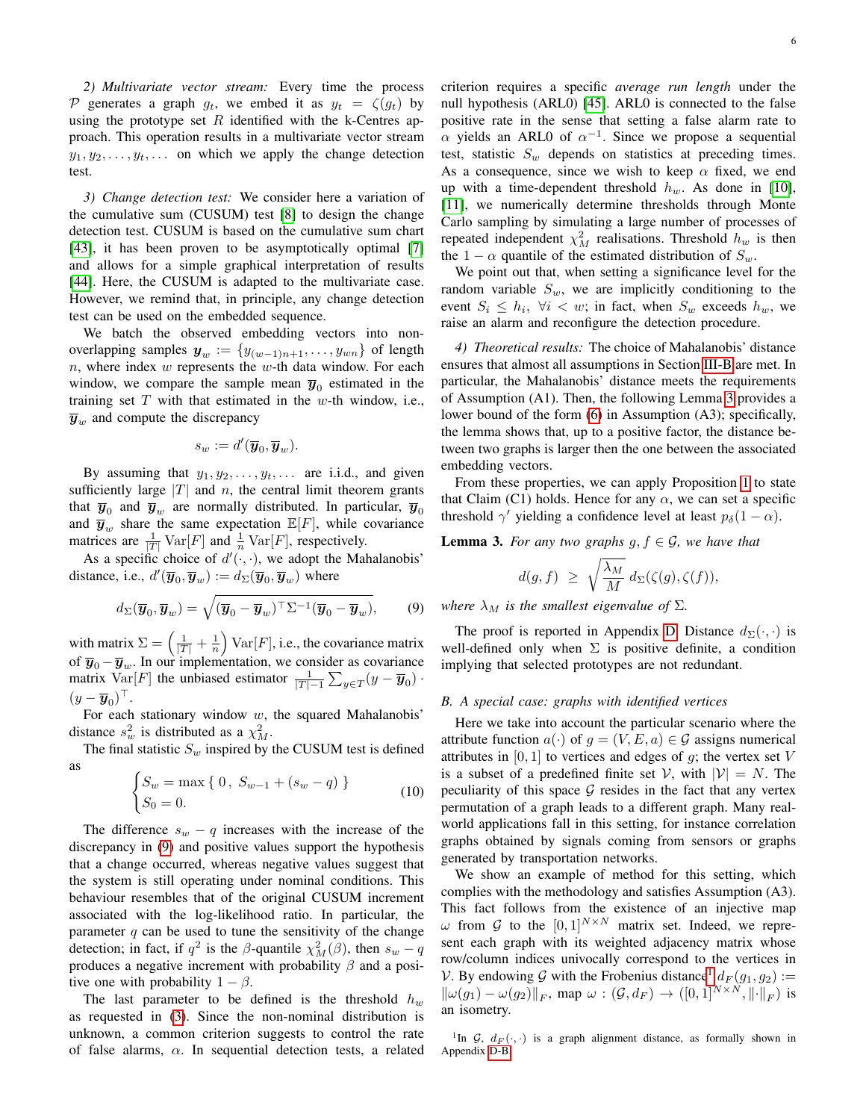*2) Multivariate vector stream:* Every time the process P generates a graph  $q_t$ , we embed it as  $y_t = \zeta(q_t)$  by using the prototype set  $R$  identified with the k-Centres approach. This operation results in a multivariate vector stream  $y_1, y_2, \ldots, y_t, \ldots$  on which we apply the change detection test.

*3) Change detection test:* We consider here a variation of the cumulative sum (CUSUM) test [\[8\]](#page-12-7) to design the change detection test. CUSUM is based on the cumulative sum chart [\[43\]](#page-13-3), it has been proven to be asymptotically optimal [\[7\]](#page-12-6) and allows for a simple graphical interpretation of results [\[44\]](#page-13-4). Here, the CUSUM is adapted to the multivariate case. However, we remind that, in principle, any change detection test can be used on the embedded sequence.

We batch the observed embedding vectors into nonoverlapping samples  $y_w := \{y_{(w-1)n+1}, \ldots, y_{wn}\}\)$  of length  $n$ , where index  $w$  represents the  $w$ -th data window. For each window, we compare the sample mean  $\overline{y}_0$  estimated in the training set  $T$  with that estimated in the  $w$ -th window, i.e.,  $\overline{y}_w$  and compute the discrepancy

$$
s_w := d'(\overline{\boldsymbol{y}}_0, \overline{\boldsymbol{y}}_w).
$$

By assuming that  $y_1, y_2, \ldots, y_t, \ldots$  are i.i.d., and given sufficiently large  $|T|$  and n, the central limit theorem grants that  $\overline{y}_0$  and  $\overline{y}_w$  are normally distributed. In particular,  $\overline{y}_0$ and  $\overline{y}_w$  share the same expectation  $\mathbb{E}[F]$ , while covariance matrices are  $\frac{1}{|T|}$  Var $[F]$  and  $\frac{1}{n}$  Var $[F]$ , respectively.

As a specific choice of  $d'(\cdot, \cdot)$ , we adopt the Mahalanobis' distance, i.e.,  $d'(\overline{\mathbf{y}}_0, \overline{\mathbf{y}}_w) := d_{\Sigma}(\overline{\mathbf{y}}_0, \overline{\mathbf{y}}_w)$  where

<span id="page-5-1"></span>
$$
d_{\Sigma}(\overline{\boldsymbol{y}}_0, \overline{\boldsymbol{y}}_w) = \sqrt{(\overline{\boldsymbol{y}}_0 - \overline{\boldsymbol{y}}_w)^{\top} \Sigma^{-1} (\overline{\boldsymbol{y}}_0 - \overline{\boldsymbol{y}}_w)},\qquad(9)
$$

with matrix  $\Sigma = \left(\frac{1}{|T|} + \frac{1}{n}\right) \text{Var}[F]$ , i.e., the covariance matrix of  $\overline{y}_0 - \overline{y}_w$ . In our implementation, we consider as covariance matrix Var $[F]$  the unbiased estimator  $\frac{1}{|T|-1} \sum_{y \in T} (y - \overline{y}_0)$ .  $(y-\overline{\boldsymbol{y}}_0)^\top.$ 

For each stationary window  $w$ , the squared Mahalanobis' distance  $s_w^2$  is distributed as a  $\chi^2_M$ .

The final statistic  $S_w$  inspired by the CUSUM test is defined as

<span id="page-5-4"></span>
$$
\begin{cases} S_w = \max\{0, \ S_{w-1} + (s_w - q) \} \\ S_0 = 0. \end{cases}
$$
 (10)

The difference  $s_w - q$  increases with the increase of the discrepancy in [\(9\)](#page-5-1) and positive values support the hypothesis that a change occurred, whereas negative values suggest that the system is still operating under nominal conditions. This behaviour resembles that of the original CUSUM increment associated with the log-likelihood ratio. In particular, the parameter  $q$  can be used to tune the sensitivity of the change detection; in fact, if  $q^2$  is the  $\beta$ -quantile  $\chi^2_M(\beta)$ , then  $s_w - q$ produces a negative increment with probability  $\beta$  and a positive one with probability  $1 - \beta$ .

The last parameter to be defined is the threshold  $h_w$ as requested in [\(3\)](#page-2-1). Since the non-nominal distribution is unknown, a common criterion suggests to control the rate of false alarms,  $\alpha$ . In sequential detection tests, a related criterion requires a specific *average run length* under the null hypothesis (ARL0) [\[45\]](#page-13-5). ARL0 is connected to the false positive rate in the sense that setting a false alarm rate to  $\alpha$  yields an ARL0 of  $\alpha^{-1}$ . Since we propose a sequential test, statistic  $S_w$  depends on statistics at preceding times. As a consequence, since we wish to keep  $\alpha$  fixed, we end up with a time-dependent threshold  $h_w$ . As done in [\[10\]](#page-12-9), [\[11\]](#page-12-10), we numerically determine thresholds through Monte Carlo sampling by simulating a large number of processes of repeated independent  $\chi^2_M$  realisations. Threshold  $h_w$  is then the 1 –  $\alpha$  quantile of the estimated distribution of  $S_w$ .

We point out that, when setting a significance level for the random variable  $S_w$ , we are implicitly conditioning to the event  $S_i \leq h_i$ ,  $\forall i < w$ ; in fact, when  $S_w$  exceeds  $h_w$ , we raise an alarm and reconfigure the detection procedure.

*4) Theoretical results:* The choice of Mahalanobis' distance ensures that almost all assumptions in Section [III-B](#page-3-1) are met. In particular, the Mahalanobis' distance meets the requirements of Assumption (A1). Then, the following Lemma [3](#page-5-2) provides a lower bound of the form [\(6\)](#page-4-7) in Assumption (A3); specifically, the lemma shows that, up to a positive factor, the distance between two graphs is larger then the one between the associated embedding vectors.

From these properties, we can apply Proposition [1](#page-4-1) to state that Claim (C1) holds. Hence for any  $\alpha$ , we can set a specific threshold  $\gamma'$  yielding a confidence level at least  $p_\delta(1-\alpha)$ .

<span id="page-5-2"></span>**Lemma 3.** For any two graphs  $g, f \in \mathcal{G}$ , we have that

$$
d(g,f) \ \geq \ \sqrt{\frac{\lambda_M}{M}} \ d_{\Sigma}(\zeta(g),\zeta(f)),
$$

*where*  $\lambda_M$  *is the smallest eigenvalue of*  $\Sigma$ *.* 

The proof is reported in Appendix [D.](#page-11-0) Distance  $d_{\Sigma}(\cdot, \cdot)$  is well-defined only when  $\Sigma$  is positive definite, a condition implying that selected prototypes are not redundant.

## <span id="page-5-0"></span>*B. A special case: graphs with identified vertices*

Here we take into account the particular scenario where the attribute function  $a(\cdot)$  of  $g = (V, E, a) \in \mathcal{G}$  assigns numerical attributes in  $[0, 1]$  to vertices and edges of g; the vertex set V is a subset of a predefined finite set V, with  $|V| = N$ . The peculiarity of this space  $G$  resides in the fact that any vertex permutation of a graph leads to a different graph. Many realworld applications fall in this setting, for instance correlation graphs obtained by signals coming from sensors or graphs generated by transportation networks.

We show an example of method for this setting, which complies with the methodology and satisfies Assumption (A3). This fact follows from the existence of an injective map  $\omega$  from  $\mathcal G$  to the  $[0,1]^{N \times N}$  matrix set. Indeed, we represent each graph with its weighted adjacency matrix whose row/column indices univocally correspond to the vertices in V. By endowing G with the Frobenius distance<sup>[1](#page-5-3)</sup>  $d_F(g_1, g_2) :=$  $\|\omega(g_1) - \omega(g_2)\|_F$ , map  $\omega : (\mathcal{G}, d_F) \to ([0, 1]^{N \times N}, \|\cdot\|_F)$  is an isometry.

<span id="page-5-3"></span><sup>1</sup>In G,  $d_F(\cdot, \cdot)$  is a graph alignment distance, as formally shown in Appendix [D-B.](#page-11-1)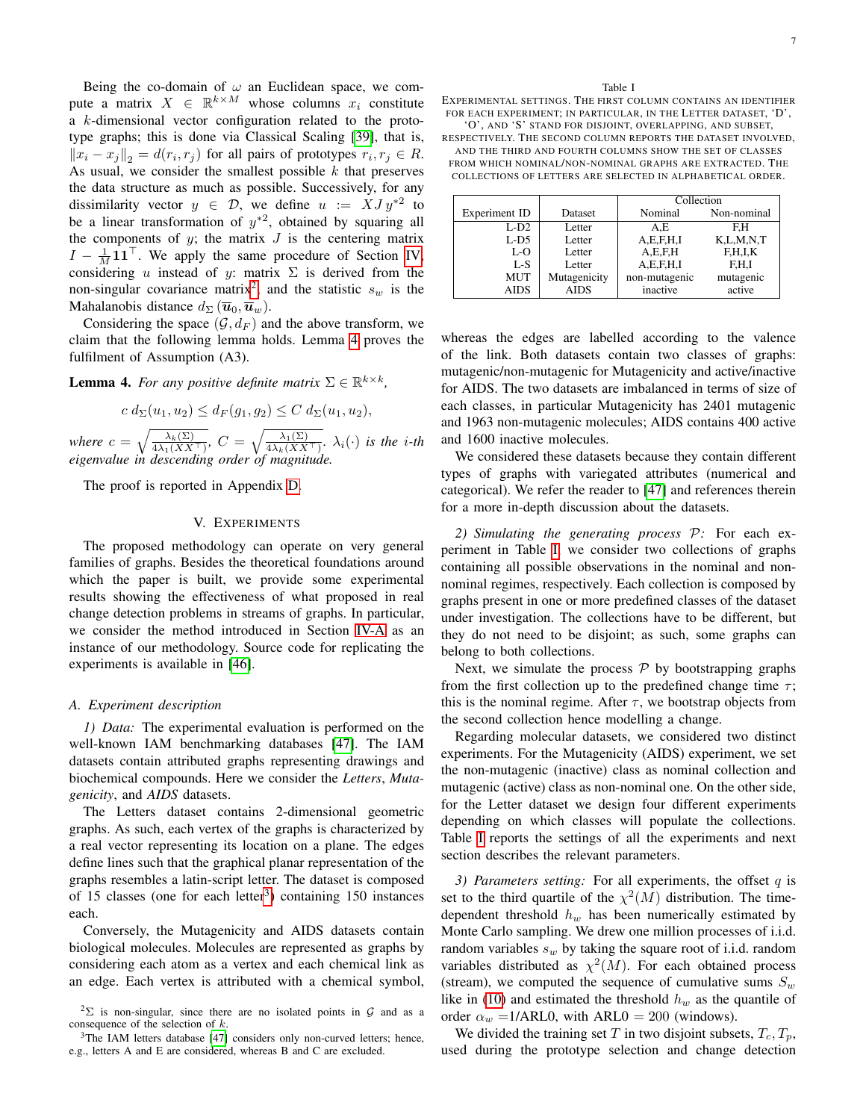Being the co-domain of  $\omega$  an Euclidean space, we compute a matrix  $X \in \mathbb{R}^{k \times M}$  whose columns  $x_i$  constitute a k-dimensional vector configuration related to the prototype graphs; this is done via Classical Scaling [\[39\]](#page-12-36), that is,  $||x_i - x_j||_2 = d(r_i, r_j)$  for all pairs of prototypes  $r_i, r_j \in R$ . As usual, we consider the smallest possible  $k$  that preserves the data structure as much as possible. Successively, for any dissimilarity vector  $y \in \mathcal{D}$ , we define  $u := XJ y^{*2}$  to be a linear transformation of  $y^*{}^2$ , obtained by squaring all the components of  $y$ ; the matrix  $J$  is the centering matrix  $I - \frac{1}{M}$ **11**<sup> $\top$ </sup>. We apply the same procedure of Section [IV,](#page-4-0) considering u instead of y: matrix  $\Sigma$  is derived from the non-singular covariance matrix<sup>[2](#page-6-1)</sup>, and the statistic  $s_w$  is the Mahalanobis distance  $d_{\Sigma}(\overline{\boldsymbol{u}}_0,\overline{\boldsymbol{u}}_w)$ .

Considering the space  $(\mathcal{G}, d_F)$  and the above transform, we claim that the following lemma holds. Lemma [4](#page-6-2) proves the fulfilment of Assumption (A3).

<span id="page-6-2"></span>**Lemma 4.** For any positive definite matrix  $\Sigma \in \mathbb{R}^{k \times k}$ ,

$$
c d_{\Sigma}(u_1, u_2) \le d_F(g_1, g_2) \le C d_{\Sigma}(u_1, u_2),
$$

*where*  $c = \sqrt{\frac{\lambda_k(\Sigma)}{4\lambda_1(XX^\top)}}$ ,  $C = \sqrt{\frac{\lambda_1(\Sigma)}{4\lambda_k(XX^\top)}}$ .  $\lambda_i(\cdot)$  *is the i-th eigenvalue in descending order of magnitude.*

The proof is reported in Appendix [D.](#page-11-0)

# V. EXPERIMENTS

<span id="page-6-0"></span>The proposed methodology can operate on very general families of graphs. Besides the theoretical foundations around which the paper is built, we provide some experimental results showing the effectiveness of what proposed in real change detection problems in streams of graphs. In particular, we consider the method introduced in Section [IV-A](#page-4-5) as an instance of our methodology. Source code for replicating the experiments is available in [\[46\]](#page-13-6).

#### *A. Experiment description*

*1) Data:* The experimental evaluation is performed on the well-known IAM benchmarking databases [\[47\]](#page-13-7). The IAM datasets contain attributed graphs representing drawings and biochemical compounds. Here we consider the *Letters*, *Mutagenicity*, and *AIDS* datasets.

The Letters dataset contains 2-dimensional geometric graphs. As such, each vertex of the graphs is characterized by a real vector representing its location on a plane. The edges define lines such that the graphical planar representation of the graphs resembles a latin-script letter. The dataset is composed of 15 classes (one for each letter<sup>[3](#page-6-3)</sup>) containing 150 instances each.

Conversely, the Mutagenicity and AIDS datasets contain biological molecules. Molecules are represented as graphs by considering each atom as a vertex and each chemical link as an edge. Each vertex is attributed with a chemical symbol,

<span id="page-6-3"></span><sup>3</sup>The IAM letters database [\[47\]](#page-13-7) considers only non-curved letters; hence, e.g., letters A and E are considered, whereas B and C are excluded.

<span id="page-6-4"></span>EXPERIMENTAL SETTINGS. THE FIRST COLUMN CONTAINS AN IDENTIFIER FOR EACH EXPERIMENT; IN PARTICULAR, IN THE LETTER DATASET, 'D', 'O', AND 'S' STAND FOR DISJOINT, OVERLAPPING, AND SUBSET,

RESPECTIVELY. THE SECOND COLUMN REPORTS THE DATASET INVOLVED, AND THE THIRD AND FOURTH COLUMNS SHOW THE SET OF CLASSES

FROM WHICH NOMINAL/NON-NOMINAL GRAPHS ARE EXTRACTED. THE COLLECTIONS OF LETTERS ARE SELECTED IN ALPHABETICAL ORDER.

|               |              | Collection    |               |  |  |
|---------------|--------------|---------------|---------------|--|--|
| Experiment ID | Dataset      | Nominal       | Non-nominal   |  |  |
| $L-D2$        | Letter       | A.E           | F.H           |  |  |
| $L-D5$        | Letter       | A.E.F.H.I     | K, L, M, N, T |  |  |
| $L-O$         | Letter       | A.E.F.H       | F.H.I.K       |  |  |
| L-S           | Letter       | A.E.F.H.I     | F.H.I         |  |  |
| MUT           | Mutagenicity | non-mutagenic | mutagenic     |  |  |
| <b>AIDS</b>   | <b>AIDS</b>  | inactive      | active        |  |  |

whereas the edges are labelled according to the valence of the link. Both datasets contain two classes of graphs: mutagenic/non-mutagenic for Mutagenicity and active/inactive for AIDS. The two datasets are imbalanced in terms of size of each classes, in particular Mutagenicity has 2401 mutagenic and 1963 non-mutagenic molecules; AIDS contains 400 active and 1600 inactive molecules.

We considered these datasets because they contain different types of graphs with variegated attributes (numerical and categorical). We refer the reader to [\[47\]](#page-13-7) and references therein for a more in-depth discussion about the datasets.

*2) Simulating the generating process* P*:* For each experiment in Table [I,](#page-6-4) we consider two collections of graphs containing all possible observations in the nominal and nonnominal regimes, respectively. Each collection is composed by graphs present in one or more predefined classes of the dataset under investigation. The collections have to be different, but they do not need to be disjoint; as such, some graphs can belong to both collections.

Next, we simulate the process  $P$  by bootstrapping graphs from the first collection up to the predefined change time  $\tau$ ; this is the nominal regime. After  $\tau$ , we bootstrap objects from the second collection hence modelling a change.

Regarding molecular datasets, we considered two distinct experiments. For the Mutagenicity (AIDS) experiment, we set the non-mutagenic (inactive) class as nominal collection and mutagenic (active) class as non-nominal one. On the other side, for the Letter dataset we design four different experiments depending on which classes will populate the collections. Table [I](#page-6-4) reports the settings of all the experiments and next section describes the relevant parameters.

<span id="page-6-5"></span>*3) Parameters setting:* For all experiments, the offset q is set to the third quartile of the  $\chi^2(M)$  distribution. The timedependent threshold  $h_w$  has been numerically estimated by Monte Carlo sampling. We drew one million processes of i.i.d. random variables  $s_w$  by taking the square root of i.i.d. random variables distributed as  $\chi^2(M)$ . For each obtained process (stream), we computed the sequence of cumulative sums  $S_w$ like in [\(10\)](#page-5-4) and estimated the threshold  $h_w$  as the quantile of order  $\alpha_w = 1/ARL0$ , with  $ARL0 = 200$  (windows).

We divided the training set T in two disjoint subsets,  $T_c, T_p$ , used during the prototype selection and change detection

<span id="page-6-1"></span><sup>&</sup>lt;sup>2</sup> $\sum$  is non-singular, since there are no isolated points in G and as a consequence of the selection of  $k$ .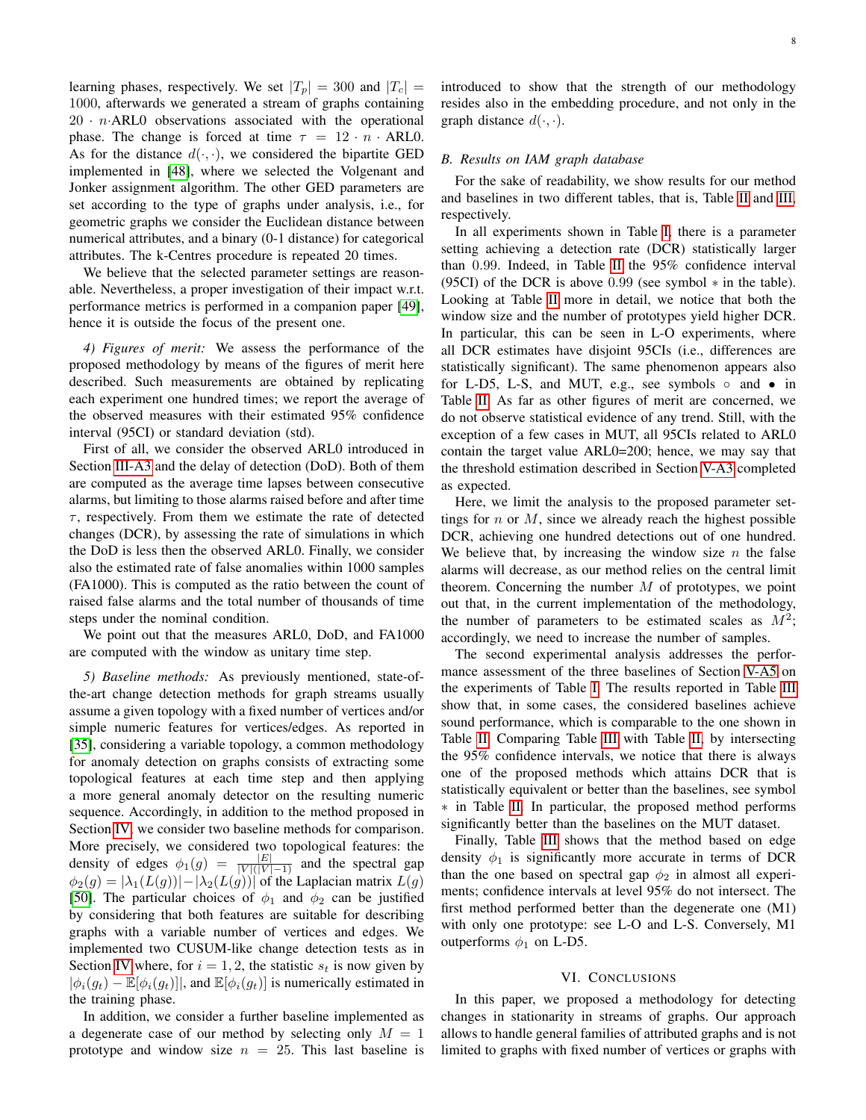learning phases, respectively. We set  $|T_p| = 300$  and  $|T_c| =$ 1000, afterwards we generated a stream of graphs containing  $20 \cdot n$ ·ARL0 observations associated with the operational phase. The change is forced at time  $\tau = 12 \cdot n \cdot ARLO$ . As for the distance  $d(\cdot, \cdot)$ , we considered the bipartite GED implemented in [\[48\]](#page-13-8), where we selected the Volgenant and Jonker assignment algorithm. The other GED parameters are set according to the type of graphs under analysis, i.e., for geometric graphs we consider the Euclidean distance between numerical attributes, and a binary (0-1 distance) for categorical attributes. The k-Centres procedure is repeated 20 times.

We believe that the selected parameter settings are reasonable. Nevertheless, a proper investigation of their impact w.r.t. performance metrics is performed in a companion paper [\[49\]](#page-13-9), hence it is outside the focus of the present one.

*4) Figures of merit:* We assess the performance of the proposed methodology by means of the figures of merit here described. Such measurements are obtained by replicating each experiment one hundred times; we report the average of the observed measures with their estimated 95% confidence interval (95CI) or standard deviation (std).

First of all, we consider the observed ARL0 introduced in Section [III-A3](#page-2-2) and the delay of detection (DoD). Both of them are computed as the average time lapses between consecutive alarms, but limiting to those alarms raised before and after time  $\tau$ , respectively. From them we estimate the rate of detected changes (DCR), by assessing the rate of simulations in which the DoD is less then the observed ARL0. Finally, we consider also the estimated rate of false anomalies within 1000 samples (FA1000). This is computed as the ratio between the count of raised false alarms and the total number of thousands of time steps under the nominal condition.

We point out that the measures ARL0, DoD, and FA1000 are computed with the window as unitary time step.

<span id="page-7-1"></span>*5) Baseline methods:* As previously mentioned, state-ofthe-art change detection methods for graph streams usually assume a given topology with a fixed number of vertices and/or simple numeric features for vertices/edges. As reported in [\[35\]](#page-12-30), considering a variable topology, a common methodology for anomaly detection on graphs consists of extracting some topological features at each time step and then applying a more general anomaly detector on the resulting numeric sequence. Accordingly, in addition to the method proposed in Section [IV,](#page-4-0) we consider two baseline methods for comparison. More precisely, we considered two topological features: the density of edges  $\phi_1(g) = \frac{|E|}{|V|(|V|-1)}$  and the spectral gap  $\phi_2(g) = |\lambda_1(L(g))| - |\lambda_2(L(g))|$  of the Laplacian matrix  $L(g)$ [\[50\]](#page-13-10). The particular choices of  $\phi_1$  and  $\phi_2$  can be justified by considering that both features are suitable for describing graphs with a variable number of vertices and edges. We implemented two CUSUM-like change detection tests as in Section [IV](#page-4-0) where, for  $i = 1, 2$ , the statistic  $s_t$  is now given by  $|\phi_i(g_t) - \mathbb{E}[\phi_i(g_t)]|$ , and  $\mathbb{E}[\phi_i(g_t)]$  is numerically estimated in the training phase.

In addition, we consider a further baseline implemented as a degenerate case of our method by selecting only  $M = 1$ prototype and window size  $n = 25$ . This last baseline is introduced to show that the strength of our methodology resides also in the embedding procedure, and not only in the graph distance  $d(\cdot, \cdot)$ .

#### *B. Results on IAM graph database*

For the sake of readability, we show results for our method and baselines in two different tables, that is, Table [II](#page-8-0) and [III,](#page-8-1) respectively.

In all experiments shown in Table [I,](#page-6-4) there is a parameter setting achieving a detection rate (DCR) statistically larger than 0.99. Indeed, in Table [II](#page-8-0) the 95% confidence interval (95CI) of the DCR is above  $0.99$  (see symbol  $*$  in the table). Looking at Table [II](#page-8-0) more in detail, we notice that both the window size and the number of prototypes yield higher DCR. In particular, this can be seen in L-O experiments, where all DCR estimates have disjoint 95CIs (i.e., differences are statistically significant). The same phenomenon appears also for L-D5, L-S, and MUT, e.g., see symbols  $\circ$  and • in Table [II.](#page-8-0) As far as other figures of merit are concerned, we do not observe statistical evidence of any trend. Still, with the exception of a few cases in MUT, all 95CIs related to ARL0 contain the target value ARL0=200; hence, we may say that the threshold estimation described in Section [V-A3](#page-6-5) completed as expected.

Here, we limit the analysis to the proposed parameter settings for  $n$  or  $M$ , since we already reach the highest possible DCR, achieving one hundred detections out of one hundred. We believe that, by increasing the window size  $n$  the false alarms will decrease, as our method relies on the central limit theorem. Concerning the number  $M$  of prototypes, we point out that, in the current implementation of the methodology, the number of parameters to be estimated scales as  $M^2$ ; accordingly, we need to increase the number of samples.

The second experimental analysis addresses the performance assessment of the three baselines of Section [V-A5](#page-7-1) on the experiments of Table [I.](#page-6-4) The results reported in Table [III](#page-8-1) show that, in some cases, the considered baselines achieve sound performance, which is comparable to the one shown in Table [II.](#page-8-0) Comparing Table [III](#page-8-1) with Table [II,](#page-8-0) by intersecting the 95% confidence intervals, we notice that there is always one of the proposed methods which attains DCR that is statistically equivalent or better than the baselines, see symbol ∗ in Table [II.](#page-8-0) In particular, the proposed method performs significantly better than the baselines on the MUT dataset.

Finally, Table [III](#page-8-1) shows that the method based on edge density  $\phi_1$  is significantly more accurate in terms of DCR than the one based on spectral gap  $\phi_2$  in almost all experiments; confidence intervals at level 95% do not intersect. The first method performed better than the degenerate one (M1) with only one prototype: see L-O and L-S. Conversely, M1 outperforms  $\phi_1$  on L-D5.

## VI. CONCLUSIONS

<span id="page-7-0"></span>In this paper, we proposed a methodology for detecting changes in stationarity in streams of graphs. Our approach allows to handle general families of attributed graphs and is not limited to graphs with fixed number of vertices or graphs with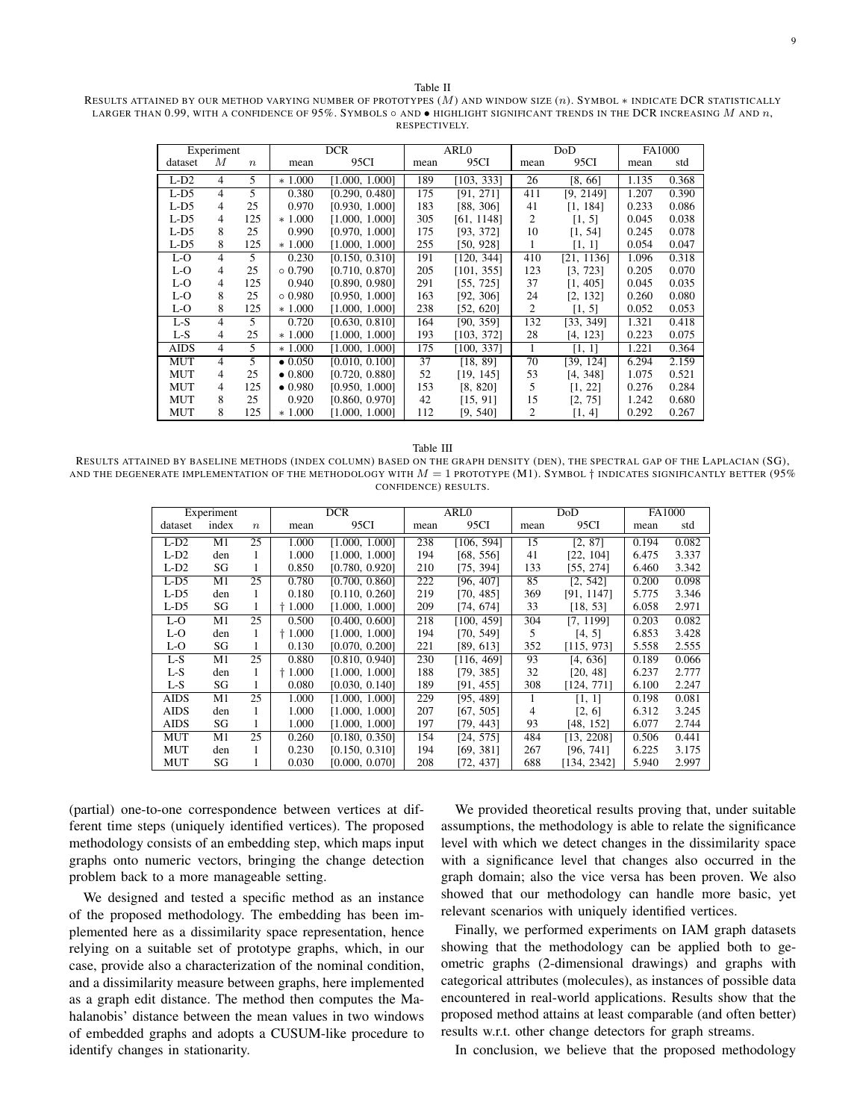<span id="page-8-0"></span>RESULTS ATTAINED BY OUR METHOD VARYING NUMBER OF PROTOTYPES (M) AND WINDOW SIZE (n). SYMBOL ∗ INDICATE DCR STATISTICALLY LARGER THAN 0.99, WITH A CONFIDENCE OF 95%. SYMBOLS  $\circ$  AND  $\bullet$  HIGHLIGHT SIGNIFICANT TRENDS IN THE DCR INCREASING M AND n, RESPECTIVELY.

| Experiment  |   | <b>DCR</b>       |                 | ARL <sub>0</sub> |      | DoD        |                 | FA1000     |       |       |
|-------------|---|------------------|-----------------|------------------|------|------------|-----------------|------------|-------|-------|
| dataset     | М | $\boldsymbol{n}$ | mean            | 95CI             | mean | 95CI       | mean            | 95CI       | mean  | std   |
| $L-D2$      | 4 | 5                | $*1.000$        | [1.000, 1.000]   | 189  | [103, 333] | $\overline{26}$ | [8, 66]    | 1.135 | 0.368 |
| $L-D5$      | 4 | 5                | 0.380           | [0.290, 0.480]   | 175  | [91, 271]  | 411             | [9, 2149]  | 1.207 | 0.390 |
| $L-D5$      | 4 | 25               | 0.970           | [0.930, 1.000]   | 183  | [88, 306]  | 41              | [1, 184]   | 0.233 | 0.086 |
| $L-D5$      | 4 | 125              | $*1.000$        | [1.000, 1.000]   | 305  | [61, 1148] | 2               | [1, 5]     | 0.045 | 0.038 |
| $L-D5$      | 8 | 25               | 0.990           | [0.970, 1.000]   | 175  | [93, 372]  | 10              | [1, 54]    | 0.245 | 0.078 |
| $L-D5$      | 8 | 125              | $*1.000$        | [1.000, 1.000]   | 255  | [50, 928]  | 1               | [1, 1]     | 0.054 | 0.047 |
| L-O         | 4 | 5                | 0.230           | [0.150, 0.310]   | 191  | [120, 344] | 410             | [21, 1136] | 1.096 | 0.318 |
| L-O         | 4 | 25               | $\circ$ 0.790   | [0.710, 0.870]   | 205  | [101, 355] | 123             | [3, 723]   | 0.205 | 0.070 |
| L-O         | 4 | 125              | 0.940           | [0.890, 0.980]   | 291  | [55, 725]  | 37              | [1, 405]   | 0.045 | 0.035 |
| L-O         | 8 | 25               | $\circ$ 0.980   | [0.950, 1.000]   | 163  | [92, 306]  | 24              | [2, 132]   | 0.260 | 0.080 |
| L-O         | 8 | 125              | $*1.000$        | [1.000, 1.000]   | 238  | [52, 620]  | 2               | [1, 5]     | 0.052 | 0.053 |
| $L-S$       | 4 | 5                | 0.720           | [0.630, 0.810]   | 164  | [90, 359]  | 132             | [33, 349]  | 1.321 | 0.418 |
| $L-S$       | 4 | 25               | $*1.000$        | [1.000, 1.000]   | 193  | [103, 372] | 28              | [4, 123]   | 0.223 | 0.075 |
| <b>AIDS</b> | 4 | 5                | $*1.000$        | [1.000. 1.000]   | 175  | [100, 337] | 1               | [1, 1]     | 1.221 | 0.364 |
| <b>MUT</b>  | 4 | 5                | $\bullet$ 0.050 | [0.010, 0.100]   | 37   | [18, 89]   | 70              | [39, 124]  | 6.294 | 2.159 |
| <b>MUT</b>  | 4 | 25               | $\bullet$ 0.800 | [0.720, 0.880]   | 52   | [19, 145]  | 53              | [4, 348]   | 1.075 | 0.521 |
| <b>MUT</b>  | 4 | 125              | $\bullet$ 0.980 | [0.950, 1.000]   | 153  | [8, 820]   | 5               | [1, 22]    | 0.276 | 0.284 |
| <b>MUT</b>  | 8 | 25               | 0.920           | [0.860, 0.970]   | 42   | [15, 91]   | 15              | [2, 75]    | 1.242 | 0.680 |
| MUT         | 8 | 125              | $*1.000$        | [1.000. 1.000]   | 112  | [9, 540]   | 2               | [1, 4]     | 0.292 | 0.267 |

<span id="page-8-1"></span>Table III RESULTS ATTAINED BY BASELINE METHODS (INDEX COLUMN) BASED ON THE GRAPH DENSITY (DEN), THE SPECTRAL GAP OF THE LAPLACIAN (SG), AND THE DEGENERATE IMPLEMENTATION OF THE METHODOLOGY WITH  $M = 1$  PROTOTYPE (M1). SYMBOL  $\dagger$  INDICATES SIGNIFICANTLY BETTER (95% CONFIDENCE) RESULTS.

| Experiment  |       | <b>DCR</b>       |       | ARLO           |      | DoD        |      | <b>FA1000</b> |       |       |
|-------------|-------|------------------|-------|----------------|------|------------|------|---------------|-------|-------|
| dataset     | index | $\boldsymbol{n}$ | mean  | 95CI           | mean | 95CI       | mean | 95CI          | mean  | std   |
| $L-D2$      | M1    | 25               | 1.000 | [1.000, 1.000] | 238  | [106, 594] | 15   | [2, 87]       | 0.194 | 0.082 |
| $L-D2$      | den   | 1                | 1.000 | [1.000, 1.000] | 194  | [68, 556]  | 41   | [22, 104]     | 6.475 | 3.337 |
| $L-D2$      | SG    | 1                | 0.850 | [0.780, 0.920] | 210  | [75, 394]  | 133  | [55, 274]     | 6.460 | 3.342 |
| $L-D5$      | M1    | 25               | 0.780 | [0.700, 0.860] | 222  | [96, 407]  | 85   | [2, 542]      | 0.200 | 0.098 |
| $L-D5$      | den   | 1                | 0.180 | [0.110, 0.260] | 219  | [70, 485]  | 369  | [91, 1147]    | 5.775 | 3.346 |
| $L-D5$      | SG    | 1                | 1.000 | [1.000, 1.000] | 209  | [74, 674]  | 33   | [18, 53]      | 6.058 | 2.971 |
| $L-O$       | M1    | 25               | 0.500 | [0.400, 0.600] | 218  | [100, 459] | 304  | [7, 1199]     | 0.203 | 0.082 |
| L-O         | den   | 1                | 1.000 | [1.000, 1.000] | 194  | [70, 549]  | 5    | [4, 5]        | 6.853 | 3.428 |
| L-O         | SG    | 1                | 0.130 | [0.070, 0.200] | 221  | [89, 613]  | 352  | [115, 973]    | 5.558 | 2.555 |
| $L-S$       | M1    | 25               | 0.880 | [0.810, 0.940] | 230  | [116, 469] | 93   | [4, 636]      | 0.189 | 0.066 |
| L-S         | den   | 1                | 1.000 | [1.000, 1.000] | 188  | [79, 385]  | 32   | [20, 48]      | 6.237 | 2.777 |
| $L-S$       | SG    | 1                | 0.080 | [0.030, 0.140] | 189  | [91, 455]  | 308  | [124, 771]    | 6.100 | 2.247 |
| <b>AIDS</b> | M1    | 25               | 1.000 | [1.000, 1.000] | 229  | [95, 489]  |      | [1, 1]        | 0.198 | 0.081 |
| <b>AIDS</b> | den   | 1                | 1.000 | [1.000, 1.000] | 207  | [67, 505]  | 4    | [2, 6]        | 6.312 | 3.245 |
| AIDS        | SG    | 1                | 1.000 | [1.000, 1.000] | 197  | [79, 443]  | 93   | [48, 152]     | 6.077 | 2.744 |
| MUT         | M1    | 25               | 0.260 | [0.180, 0.350] | 154  | [24, 575]  | 484  | [13, 2208]    | 0.506 | 0.441 |
| <b>MUT</b>  | den   | 1                | 0.230 | [0.150, 0.310] | 194  | [69, 381]  | 267  | [96, 741]     | 6.225 | 3.175 |
| MUT         | SG    |                  | 0.030 | [0.000, 0.070] | 208  | [72, 437]  | 688  | [134, 2342]   | 5.940 | 2.997 |

(partial) one-to-one correspondence between vertices at different time steps (uniquely identified vertices). The proposed methodology consists of an embedding step, which maps input graphs onto numeric vectors, bringing the change detection problem back to a more manageable setting.

We designed and tested a specific method as an instance of the proposed methodology. The embedding has been implemented here as a dissimilarity space representation, hence relying on a suitable set of prototype graphs, which, in our case, provide also a characterization of the nominal condition, and a dissimilarity measure between graphs, here implemented as a graph edit distance. The method then computes the Mahalanobis' distance between the mean values in two windows of embedded graphs and adopts a CUSUM-like procedure to identify changes in stationarity.

We provided theoretical results proving that, under suitable assumptions, the methodology is able to relate the significance level with which we detect changes in the dissimilarity space with a significance level that changes also occurred in the graph domain; also the vice versa has been proven. We also showed that our methodology can handle more basic, yet relevant scenarios with uniquely identified vertices.

Finally, we performed experiments on IAM graph datasets showing that the methodology can be applied both to geometric graphs (2-dimensional drawings) and graphs with categorical attributes (molecules), as instances of possible data encountered in real-world applications. Results show that the proposed method attains at least comparable (and often better) results w.r.t. other change detectors for graph streams.

In conclusion, we believe that the proposed methodology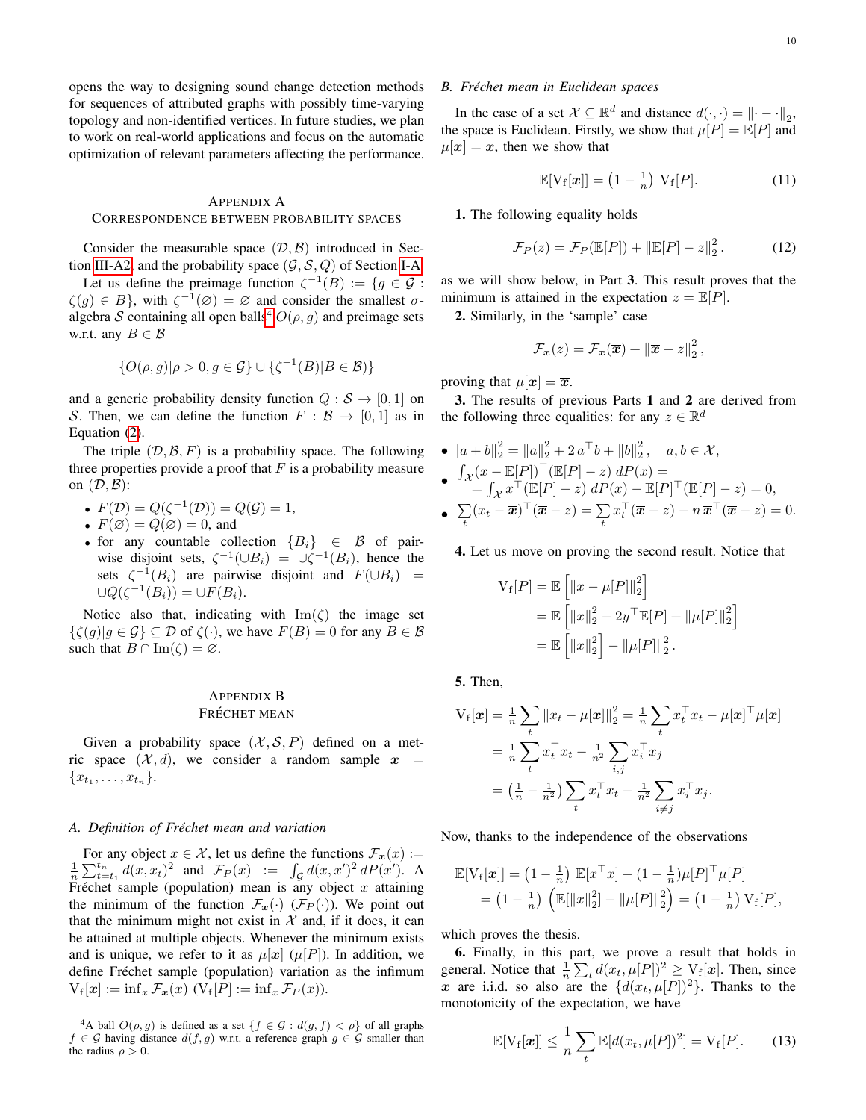opens the way to designing sound change detection methods for sequences of attributed graphs with possibly time-varying topology and non-identified vertices. In future studies, we plan to work on real-world applications and focus on the automatic optimization of relevant parameters affecting the performance.

# <span id="page-9-0"></span>APPENDIX A CORRESPONDENCE BETWEEN PROBABILITY SPACES

Consider the measurable space  $(D, \mathcal{B})$  introduced in Sec-tion [III-A2,](#page-2-3) and the probability space  $(\mathcal{G}, \mathcal{S}, Q)$  of Section [I-A.](#page-1-1)

Let us define the preimage function  $\zeta^{-1}(B) := \{ g \in \mathcal{G} :$  $\zeta(g) \in B$ , with  $\zeta^{-1}(\varnothing) = \varnothing$  and consider the smallest  $\sigma$ -algebra S containing all open balls<sup>[4](#page-9-2)</sup>  $O(\rho, g)$  and preimage sets w.r.t. any  $B \in \mathcal{B}$ 

$$
\{O(\rho, g)|\rho > 0, g \in \mathcal{G}\} \cup \{\zeta^{-1}(B)|B \in \mathcal{B}\}\
$$

and a generic probability density function  $Q : \mathcal{S} \to [0, 1]$  on S. Then, we can define the function  $F : \mathcal{B} \to [0,1]$  as in Equation [\(2\)](#page-2-4).

The triple  $(D, \mathcal{B}, F)$  is a probability space. The following three properties provide a proof that  $F$  is a probability measure on  $(D, \mathcal{B})$ :

• 
$$
F(\mathcal{D}) = Q(\zeta^{-1}(\mathcal{D})) = Q(\mathcal{G}) = 1,
$$

- $F(\emptyset) = Q(\emptyset) = 0$ , and
- for any countable collection  ${B_i}$   $\in$  B of pairwise disjoint sets,  $\zeta^{-1}(\cup B_i) = \cup \zeta^{-1}(B_i)$ , hence the sets  $\zeta^{-1}(B_i)$  are pairwise disjoint and  $F(\cup B_i)$  =  $\cup Q(\zeta^{-1}(B_i)) = \cup F(B_i).$

Notice also that, indicating with  $\text{Im}(\zeta)$  the image set  $\{\zeta(g) | g \in \mathcal{G}\}\subseteq \mathcal{D}$  of  $\zeta(\cdot)$ , we have  $F(B) = 0$  for any  $B \in \mathcal{B}$ such that  $B \cap \text{Im}(\zeta) = \emptyset$ .

# <span id="page-9-1"></span>APPENDIX B FRÉCHET MEAN

Given a probability space  $(\mathcal{X}, \mathcal{S}, P)$  defined on a metric space  $(\mathcal{X}, d)$ , we consider a random sample  $x =$  $\{x_{t_1}, \ldots, x_{t_n}\}.$ 

#### *A. Definition of Frechet mean and variation ´*

For any object  $x \in \mathcal{X}$ , let us define the functions  $\mathcal{F}_x(x) :=$  $\frac{1}{n}\sum_{t=t_1}^{t_n} d(x, x_t)^2$  and  $\mathcal{F}_P(x) := \int_{\mathcal{G}} d(x, x')^2 dP(x')$ . A Fréchet sample (population) mean is any object  $x$  attaining the minimum of the function  $\mathcal{F}_x(\cdot)$  ( $\mathcal{F}_P(\cdot)$ ). We point out that the minimum might not exist in  $X$  and, if it does, it can be attained at multiple objects. Whenever the minimum exists and is unique, we refer to it as  $\mu[x]$  ( $\mu[P]$ ). In addition, we define Fréchet sample (population) variation as the infimum  $V_f[\boldsymbol{x}] := \inf_x \mathcal{F}_{\boldsymbol{x}}(x)$   $(V_f[P] := \inf_x \mathcal{F}_P(x)).$ 

# *B. Frechet mean in Euclidean spaces ´*

In the case of a set  $\mathcal{X} \subseteq \mathbb{R}^d$  and distance  $d(\cdot, \cdot) = ||\cdot - \cdot||_2$ , the space is Euclidean. Firstly, we show that  $\mu[P] = \mathbb{E}[P]$  and  $\mu[x] = \overline{x}$ , then we show that

<span id="page-9-4"></span>
$$
\mathbb{E}[V_f[\boldsymbol{x}]] = \left(1 - \frac{1}{n}\right) V_f[P]. \tag{11}
$$

1. The following equality holds

<span id="page-9-3"></span>
$$
\mathcal{F}_P(z) = \mathcal{F}_P(\mathbb{E}[P]) + ||\mathbb{E}[P] - z||_2^2.
$$
 (12)

as we will show below, in Part 3. This result proves that the minimum is attained in the expectation  $z = \mathbb{E}[P]$ .

2. Similarly, in the 'sample' case

$$
\mathcal{F}_{\boldsymbol{x}}(z) = \mathcal{F}_{\boldsymbol{x}}(\overline{\boldsymbol{x}}) + \|\overline{\boldsymbol{x}} - z\|_2^2,
$$

proving that  $\mu[\mathbf{x}] = \overline{\mathbf{x}}$ .

3. The results of previous Parts 1 and 2 are derived from the following three equalities: for any  $z \in \mathbb{R}^d$ 

• 
$$
||a + b||_2^2 = ||a||_2^2 + 2a^\top b + ||b||_2^2
$$
,  $a, b \in \mathcal{X}$ ,  
\n•  $\int_{\mathcal{X}} (x - \mathbb{E}[P])^\top (\mathbb{E}[P] - z) dP(x) =$   
\n•  $\int_{\mathcal{X}} x^\top (\mathbb{E}[P] - z) dP(x) - \mathbb{E}[P]^\top (\mathbb{E}[P] - z) = 0$ ,  
\n•  $\sum_t (x_t - \overline{x})^\top (\overline{x} - z) = \sum_t x_t^\top (\overline{x} - z) - n \overline{x}^\top (\overline{x} - z) = 0$ .

4. Let us move on proving the second result. Notice that

$$
V_f[P] = \mathbb{E} \left[ ||x - \mu[P]||_2^2 \right]
$$
  
=  $\mathbb{E} \left[ ||x||_2^2 - 2y^\top \mathbb{E}[P] + ||\mu[P]||_2^2 \right]$   
=  $\mathbb{E} \left[ ||x||_2^2 \right] - ||\mu[P]||_2^2.$ 

5. Then,

$$
V_f[\mathbf{x}] = \frac{1}{n} \sum_t \|x_t - \mu[\mathbf{x}]\|_2^2 = \frac{1}{n} \sum_t x_t^\top x_t - \mu[\mathbf{x}]^\top \mu[\mathbf{x}]
$$
  
=  $\frac{1}{n} \sum_t x_t^\top x_t - \frac{1}{n^2} \sum_{i,j} x_i^\top x_j$   
=  $(\frac{1}{n} - \frac{1}{n^2}) \sum_t x_t^\top x_t - \frac{1}{n^2} \sum_{i \neq j} x_i^\top x_j.$ 

Now, thanks to the independence of the observations

$$
\mathbb{E}[V_f[\boldsymbol{x}]] = (1 - \frac{1}{n}) \mathbb{E}[x^\top x] - (1 - \frac{1}{n})\mu[P]^\top \mu[P] \n= (1 - \frac{1}{n}) \left( \mathbb{E}[\|x\|_2^2] - \|\mu[P]\|_2^2 \right) = (1 - \frac{1}{n}) V_f[P],
$$

which proves the thesis.

6. Finally, in this part, we prove a result that holds in general. Notice that  $\frac{1}{n} \sum_{t} d(x_t, \mu[P])^2 \geq \text{V}_f[\boldsymbol{x}]$ . Then, since x are i.i.d. so also are the  $\{d(x_t, \mu[P])^2\}$ . Thanks to the monotonicity of the expectation, we have

<span id="page-9-5"></span>
$$
\mathbb{E}[V_f[\boldsymbol{x}]] \leq \frac{1}{n} \sum_{t} \mathbb{E}[d(x_t, \mu[P])^2] = V_f[P]. \tag{13}
$$

<span id="page-9-2"></span><sup>&</sup>lt;sup>4</sup>A ball  $O(\rho, g)$  is defined as a set  $\{f \in \mathcal{G} : d(g, f) < \rho\}$  of all graphs  $f \in \mathcal{G}$  having distance  $d(f, g)$  w.r.t. a reference graph  $g \in \mathcal{G}$  smaller than the radius  $\rho > 0$ .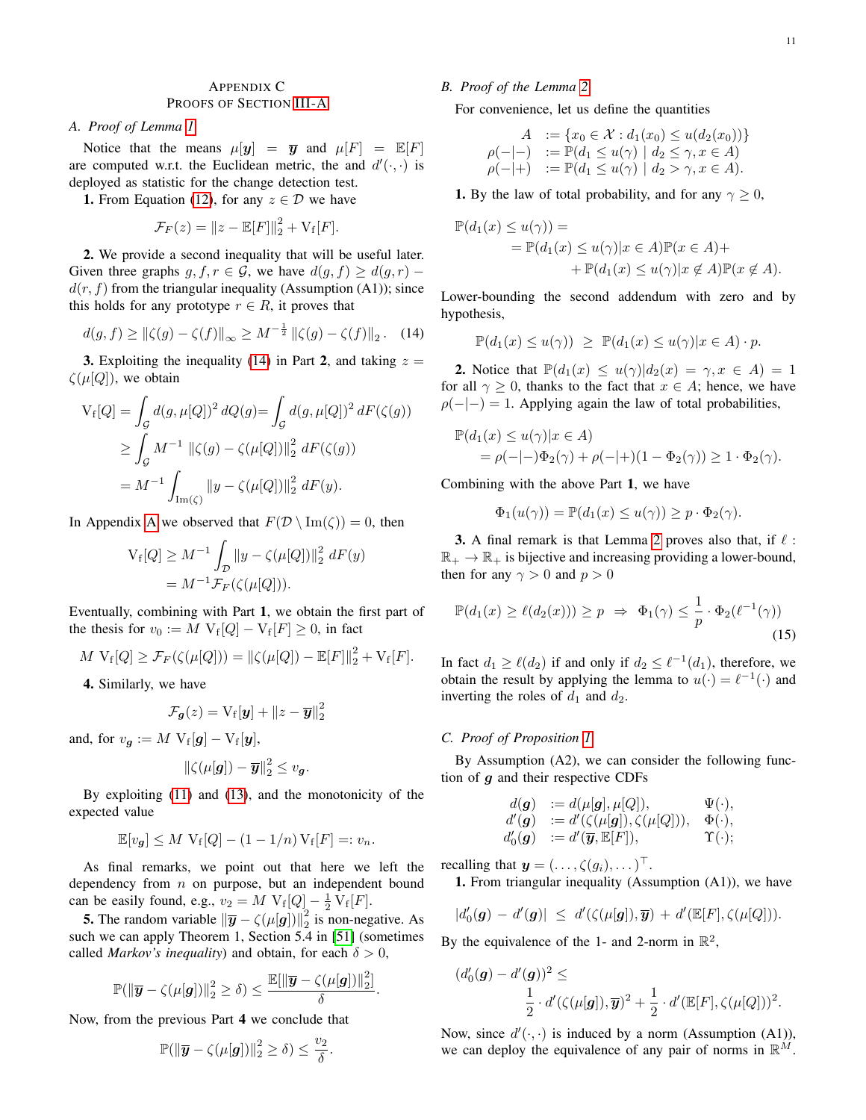# <span id="page-10-0"></span>APPENDIX C PROOFS OF SECTION [III-A](#page-2-0)

#### <span id="page-10-3"></span>*A. Proof of Lemma [1](#page-4-2)*

Notice that the means  $\mu[\mathbf{y}] = \overline{\mathbf{y}}$  and  $\mu[F] = \mathbb{E}[F]$ are computed w.r.t. the Euclidean metric, the and  $d'(\cdot, \cdot)$  is deployed as statistic for the change detection test.

**1.** From Equation [\(12\)](#page-9-3), for any  $z \in \mathcal{D}$  we have

$$
\mathcal{F}_F(z) = ||z - \mathbb{E}[F]||_2^2 + \mathrm{V_f}[F].
$$

2. We provide a second inequality that will be useful later. Given three graphs g,  $f, r \in \mathcal{G}$ , we have  $d(g, f) \geq d(g, r)$  –  $d(r, f)$  from the triangular inequality (Assumption (A1)); since this holds for any prototype  $r \in R$ , it proves that

<span id="page-10-1"></span>
$$
d(g, f) \ge ||\zeta(g) - \zeta(f)||_{\infty} \ge M^{-\frac{1}{2}} ||\zeta(g) - \zeta(f)||_{2}. \quad (14)
$$

**3.** Exploiting the inequality [\(14\)](#page-10-1) in Part 2, and taking  $z =$  $\zeta(\mu[Q])$ , we obtain

$$
V_f[Q] = \int_{\mathcal{G}} d(g, \mu[Q])^2 dQ(g) = \int_{\mathcal{G}} d(g, \mu[Q])^2 dF(\zeta(g))
$$
  
\n
$$
\geq \int_{\mathcal{G}} M^{-1} ||\zeta(g) - \zeta(\mu[Q])||_2^2 dF(\zeta(g))
$$
  
\n
$$
= M^{-1} \int_{\text{Im}(\zeta)} ||y - \zeta(\mu[Q])||_2^2 dF(y).
$$

In [A](#page-9-0)ppendix A we observed that  $F(\mathcal{D} \setminus \text{Im}(\zeta)) = 0$ , then

$$
V_f[Q] \ge M^{-1} \int_{\mathcal{D}} ||y - \zeta(\mu[Q])||_2^2 \, dF(y)
$$
  
=  $M^{-1} \mathcal{F}_F(\zeta(\mu[Q])).$ 

Eventually, combining with Part 1, we obtain the first part of the thesis for  $v_0 := M V_f[Q] - V_f[F] \ge 0$ , in fact

$$
M V_f[Q] \geq \mathcal{F}_F(\zeta(\mu[Q])) = ||\zeta(\mu[Q]) - \mathbb{E}[F]||_2^2 + V_f[F].
$$

4. Similarly, we have

$$
\mathcal{F}_{g}(z) = \mathrm{V}_{\mathrm{f}}[y] + \|z - \overline{y}\|_{2}^{2}
$$

and, for  $v_{\boldsymbol{g}} := M V_{\rm f}[\boldsymbol{g}] - V_{\rm f}[\boldsymbol{y}],$ 

$$
\|\zeta(\mu[g])-\overline{y}\|_2^2\leq v_g.
$$

By exploiting [\(11\)](#page-9-4) and [\(13\)](#page-9-5), and the monotonicity of the expected value

$$
\mathbb{E}[v_{\mathbf{g}}] \leq M \mathbf{V}_{\mathbf{f}}[Q] - (1 - 1/n) \mathbf{V}_{\mathbf{f}}[F] =: v_n.
$$

As final remarks, we point out that here we left the dependency from  $n$  on purpose, but an independent bound can be easily found, e.g.,  $v_2 = M V_f[Q] - \frac{1}{2} V_f[F]$ .

**5.** The random variable  $\|\bar{y} - \zeta(\mu[g])\|_2^2$  is non-negative. As such we can apply Theorem 1, Section 5.4 in [\[51\]](#page-13-11) (sometimes called *Markov's inequality*) and obtain, for each  $\delta > 0$ ,

$$
\mathbb{P}(\|\overline{\mathbf{y}} - \zeta(\mu[\mathbf{g}])\|_2^2 \ge \delta) \le \frac{\mathbb{E}[\|\overline{\mathbf{y}} - \zeta(\mu[\mathbf{g}])\|_2^2]}{\delta}
$$

.

Now, from the previous Part 4 we conclude that

$$
\mathbb{P}(\left\|\overline{y} - \zeta(\mu[\mathbf{g}])\right\|_2^2 \ge \delta) \le \frac{v_2}{\delta}.
$$

## *B. Proof of the Lemma [2](#page-4-3)*

For convenience, let us define the quantities

$$
A := \{x_0 \in \mathcal{X} : d_1(x_0) \le u(d_2(x_0))\}
$$
  
\n
$$
\rho(-|-) := \mathbb{P}(d_1 \le u(\gamma) \mid d_2 \le \gamma, x \in A)
$$
  
\n
$$
\rho(-|+) := \mathbb{P}(d_1 \le u(\gamma) \mid d_2 > \gamma, x \in A).
$$

1. By the law of total probability, and for any  $\gamma \geq 0$ ,

$$
\mathbb{P}(d_1(x) \le u(\gamma)) =
$$
  
=  $\mathbb{P}(d_1(x) \le u(\gamma)|x \in A)\mathbb{P}(x \in A)+$   
+  $\mathbb{P}(d_1(x) \le u(\gamma)|x \notin A)\mathbb{P}(x \notin A).$ 

Lower-bounding the second addendum with zero and by hypothesis,

$$
\mathbb{P}(d_1(x) \le u(\gamma)) \ge \mathbb{P}(d_1(x) \le u(\gamma)|x \in A) \cdot p.
$$

**2.** Notice that  $\mathbb{P}(d_1(x) \leq u(\gamma)|d_2(x) = \gamma, x \in A) = 1$ for all  $\gamma \geq 0$ , thanks to the fact that  $x \in A$ ; hence, we have  $\rho(-|-)=1$ . Applying again the law of total probabilities,

$$
\mathbb{P}(d_1(x) \le u(\gamma)|x \in A)
$$
  
=  $\rho(-|-)\Phi_2(\gamma) + \rho(-|+)(1 - \Phi_2(\gamma)) \ge 1 \cdot \Phi_2(\gamma).$ 

Combining with the above Part 1, we have

<span id="page-10-2"></span>
$$
\Phi_1(u(\gamma)) = \mathbb{P}(d_1(x) \le u(\gamma)) \ge p \cdot \Phi_2(\gamma).
$$

**3.** A final remark is that Lemma [2](#page-4-3) proves also that, if  $\ell$ :  $\mathbb{R}_+ \to \mathbb{R}_+$  is bijective and increasing providing a lower-bound, then for any  $\gamma > 0$  and  $p > 0$ 

$$
\mathbb{P}(d_1(x) \ge \ell(d_2(x))) \ge p \Rightarrow \Phi_1(\gamma) \le \frac{1}{p} \cdot \Phi_2(\ell^{-1}(\gamma))
$$
\n(15)

In fact  $d_1 \ge \ell(d_2)$  if and only if  $d_2 \le \ell^{-1}(d_1)$ , therefore, we obtain the result by applying the lemma to  $u(\cdot) = \ell^{-1}(\cdot)$  and inverting the roles of  $d_1$  and  $d_2$ .

## *C. Proof of Proposition [1](#page-4-1)*

By Assumption (A2), we can consider the following function of  $g$  and their respective CDFs

$$
d(\mathbf{g}) := d(\mu[\mathbf{g}], \mu[Q]), \qquad \Psi(\cdot),d'(\mathbf{g}) := d'(\zeta(\mu[\mathbf{g}]), \zeta(\mu[Q])), \quad \Phi(\cdot),d'_{0}(\mathbf{g}) := d'(\overline{\mathbf{g}}, \mathbb{E}[F]), \qquad \Upsilon(\cdot);
$$

recalling that  $\mathbf{y} = (\dots, \zeta(g_i), \dots)^\top$ .

1. From triangular inequality (Assumption (A1)), we have

$$
|d_0'(\mathbf{g}) - d'(\mathbf{g})| \leq d'(\zeta(\mu[\mathbf{g}]), \overline{\mathbf{y}}) + d'(\mathbb{E}[F], \zeta(\mu[Q])).
$$

By the equivalence of the 1- and 2-norm in  $\mathbb{R}^2$ ,

$$
\begin{aligned} (d_0'(\boldsymbol{g}) - d'(\boldsymbol{g}))^2 &\leq \\ &\frac{1}{2} \cdot d'(\zeta(\mu[\boldsymbol{g}]), \overline{\boldsymbol{y}})^2 + \frac{1}{2} \cdot d'(\mathbb{E}[F], \zeta(\mu[Q]))^2. \end{aligned}
$$

Now, since  $d'(\cdot, \cdot)$  is induced by a norm (Assumption (A1)), we can deploy the equivalence of any pair of norms in  $\mathbb{R}^M$ .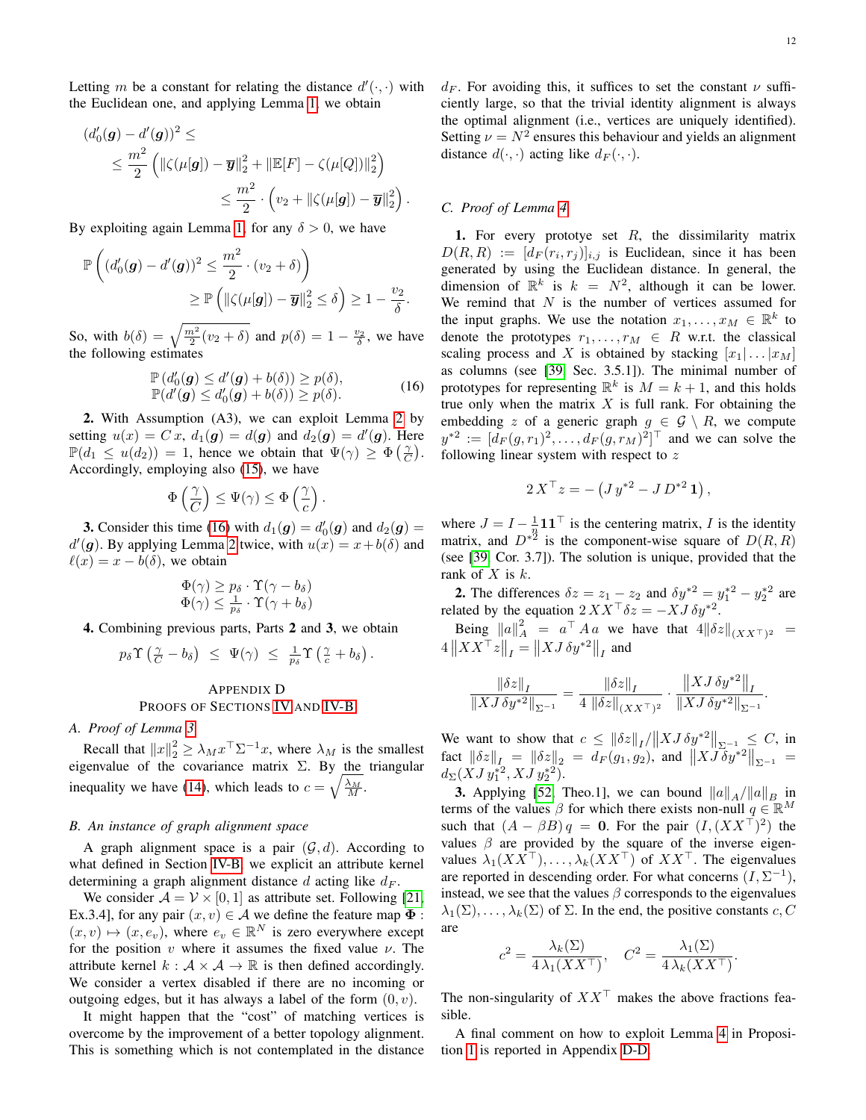Letting m be a constant for relating the distance  $d'(\cdot, \cdot)$  with the Euclidean one, and applying Lemma [1,](#page-4-2) we obtain

$$
(d'_0(\mathbf{g}) - d'(\mathbf{g}))^2 \le
$$
  
\n
$$
\leq \frac{m^2}{2} \left( \|\zeta(\mu[\mathbf{g}]) - \overline{\mathbf{y}}\|_2^2 + \|\mathbb{E}[F] - \zeta(\mu[Q])\|_2^2 \right)
$$
  
\n
$$
\leq \frac{m^2}{2} \cdot \left( v_2 + \|\zeta(\mu[\mathbf{g}]) - \overline{\mathbf{y}}\|_2^2 \right).
$$

By exploiting again Lemma [1,](#page-4-2) for any  $\delta > 0$ , we have

$$
\mathbb{P}\left((d'_0(\mathbf{g}) - d'(\mathbf{g}))^2 \leq \frac{m^2}{2} \cdot (v_2 + \delta)\right) \geq \mathbb{P}\left(\|\zeta(\mu[\mathbf{g}]) - \overline{\mathbf{y}}\|_2^2 \leq \delta\right) \geq 1 - \frac{v_2}{\delta}.
$$

So, with  $b(\delta) = \sqrt{\frac{m^2}{2}(v_2 + \delta)}$  and  $p(\delta) = 1 - \frac{v_2}{\delta}$ , we have the following estimates

<span id="page-11-2"></span>
$$
\mathbb{P}\left(d'_{0}(\boldsymbol{g}) \leq d'(\boldsymbol{g}) + b(\delta)\right) \geq p(\delta),
$$
  
\n
$$
\mathbb{P}(d'(\boldsymbol{g}) \leq d'_{0}(\boldsymbol{g}) + b(\delta)) \geq p(\delta).
$$
\n(16)

.

2. With Assumption (A3), we can exploit Lemma [2](#page-4-3) by setting  $u(x) = Cx$ ,  $d_1(g) = d(g)$  and  $d_2(g) = d'(g)$ . Here  $\mathbb{P}(d_1 \leq u(d_2)) = 1$ , hence we obtain that  $\Psi(\gamma) \geq \Phi(\frac{\gamma}{C})$ . Accordingly, employing also [\(15\)](#page-10-2), we have

$$
\Phi\left(\frac{\gamma}{C}\right)\leq \Psi(\gamma)\leq \Phi\left(\frac{\gamma}{c}\right)
$$

**3.** Consider this time [\(16\)](#page-11-2) with  $d_1(g) = d'_0(g)$  and  $d_2(g) =$  $d'(\mathbf{g})$ . By applying Lemma [2](#page-4-3) twice, with  $u(x) = x + b(\delta)$  and  $\ell(x) = x - b(\delta)$ , we obtain

$$
\Phi(\gamma) \ge p_\delta \cdot \Upsilon(\gamma - b_\delta) \Phi(\gamma) \le \frac{1}{p_\delta} \cdot \Upsilon(\gamma + b_\delta)
$$

4. Combining previous parts, Parts 2 and 3, we obtain

$$
p_{\delta} \Upsilon \left( \frac{\gamma}{C} - b_{\delta} \right) \leq \Psi(\gamma) \leq \frac{1}{p_{\delta}} \Upsilon \left( \frac{\gamma}{c} + b_{\delta} \right).
$$

# <span id="page-11-0"></span>APPENDIX D PROOFS OF SECTIONS [IV](#page-4-0) AND [IV-B](#page-5-0)

## *A. Proof of Lemma [3](#page-5-2)*

Recall that  $||x||_2^2 \ge \lambda_M x^{\top} \Sigma^{-1} x$ , where  $\lambda_M$  is the smallest eigenvalue of the covariance matrix  $\Sigma$ . By the triangular inequality we have [\(14\)](#page-10-1), which leads to  $c = \sqrt{\frac{\lambda_M}{M}}$ .

# <span id="page-11-1"></span>*B. An instance of graph alignment space*

A graph alignment space is a pair  $(G, d)$ . According to what defined in Section [IV-B,](#page-5-0) we explicit an attribute kernel determining a graph alignment distance d acting like  $d_F$ .

We consider  $A = V \times [0, 1]$  as attribute set. Following [\[21,](#page-12-18) Ex.3.4], for any pair  $(x, v) \in A$  we define the feature map  $\Phi$ :  $(x, v) \mapsto (x, e_v)$ , where  $e_v \in \mathbb{R}^N$  is zero everywhere except for the position  $v$  where it assumes the fixed value  $v$ . The attribute kernel  $k : A \times A \rightarrow \mathbb{R}$  is then defined accordingly. We consider a vertex disabled if there are no incoming or outgoing edges, but it has always a label of the form  $(0, v)$ .

It might happen that the "cost" of matching vertices is overcome by the improvement of a better topology alignment. This is something which is not contemplated in the distance  $d_F$ . For avoiding this, it suffices to set the constant  $\nu$  sufficiently large, so that the trivial identity alignment is always the optimal alignment (i.e., vertices are uniquely identified). Setting  $\nu = N^2$  ensures this behaviour and yields an alignment distance  $d(\cdot, \cdot)$  acting like  $d_F(\cdot, \cdot)$ .

# *C. Proof of Lemma [4](#page-6-2)*

1. For every prototye set  $R$ , the dissimilarity matrix  $D(R, R) := [d_F(r_i, r_j)]_{i,j}$  is Euclidean, since it has been generated by using the Euclidean distance. In general, the dimension of  $\mathbb{R}^k$  is  $k = N^2$ , although it can be lower. We remind that  $N$  is the number of vertices assumed for the input graphs. We use the notation  $x_1, \ldots, x_M \in \mathbb{R}^k$  to denote the prototypes  $r_1, \ldots, r_M \in R$  w.r.t. the classical scaling process and X is obtained by stacking  $[x_1 | \dots | x_M]$ as columns (see [\[39,](#page-12-36) Sec. 3.5.1]). The minimal number of prototypes for representing  $\mathbb{R}^k$  is  $M = k + 1$ , and this holds true only when the matrix  $X$  is full rank. For obtaining the embedding z of a generic graph  $g \in \mathcal{G} \setminus R$ , we compute  $y^{*2} := [d_F(g, r_1)^2, \dots, d_F(g, r_M)^2]^\top$  and we can solve the following linear system with respect to z

$$
2 X^{\top} z = - \left( J y^{*2} - J D^{*2} \mathbf{1} \right),
$$

where  $J = I - \frac{1}{n} \mathbf{1} \mathbf{1}^\top$  is the centering matrix, I is the identity matrix, and  $D^{*2}$  is the component-wise square of  $D(R, R)$ (see [\[39,](#page-12-36) Cor. 3.7]). The solution is unique, provided that the rank of  $X$  is  $k$ .

**2.** The differences  $\delta z = z_1 - z_2$  and  $\delta y^{*2} = y_1^{*2} - y_2^{*2}$  are related by the equation  $2XX^{\top}\delta z = -XJ \delta y^{*2}$ .

Being  $||a||_A^2 = a^{\top} A a$  we have that  $4||\delta z||_{(XX^{\top})^2} =$  $4\left\|XX^{\top}z\right\|_I = \left\|XJ\,\delta y^{*2}\right\|_I$  and

$$
\frac{\left\|\delta z\right\|_{I}}{\left\|XJ\,\delta y^{*2}\right\|_{\Sigma^{-1}}}=\frac{\left\|\delta z\right\|_{I}}{4\,\left\|\delta z\right\|_{(XX^\top)^2}}\cdot\frac{\left\|XJ\,\delta y^{*2}\right\|_{I}}{\left\|XJ\,\delta y^{*2}\right\|_{\Sigma^{-1}}}.
$$

We want to show that  $c \leq ||\delta z||_I/||X J \delta y^{*2}||_{\Sigma^{-1}} \leq C$ , in  $\int \int \int \frac{1}{\sqrt{2}} dx = \int \int \frac{1}{2} dz = dF(g_1, g_2),$  and  $\left\| X \tilde{J} \delta y^{*2} \right\|_{\Sigma^{-1}} =$  $d_{\Sigma}(XJy_1^{*2}, XJy_2^{*2}).$ 

**3.** Applying [\[52,](#page-13-12) Theo.1], we can bound  $||a||_A/||a||_B$  in terms of the values  $\beta$  for which there exists non-null  $q \in \mathbb{R}^M$ such that  $(A - \beta B)q = 0$ . For the pair  $(I, (XX^T)^2)$  the values  $\beta$  are provided by the square of the inverse eigenvalues  $\lambda_1(XX^{\top}), \ldots, \lambda_k(XX^{\top})$  of  $XX^{\top}$ . The eigenvalues are reported in descending order. For what concerns  $(I, \Sigma^{-1})$ , instead, we see that the values  $\beta$  corresponds to the eigenvalues  $\lambda_1(\Sigma), \ldots, \lambda_k(\Sigma)$  of  $\Sigma$ . In the end, the positive constants c, C are

$$
c^{2} = \frac{\lambda_{k}(\Sigma)}{4\,\lambda_{1}(XX^{\top})}, \quad C^{2} = \frac{\lambda_{1}(\Sigma)}{4\,\lambda_{k}(XX^{\top})}.
$$

The non-singularity of  $XX<sup>T</sup>$  makes the above fractions feasible.

A final comment on how to exploit Lemma [4](#page-6-2) in Proposition [1](#page-4-1) is reported in Appendix [D-D.](#page-12-37)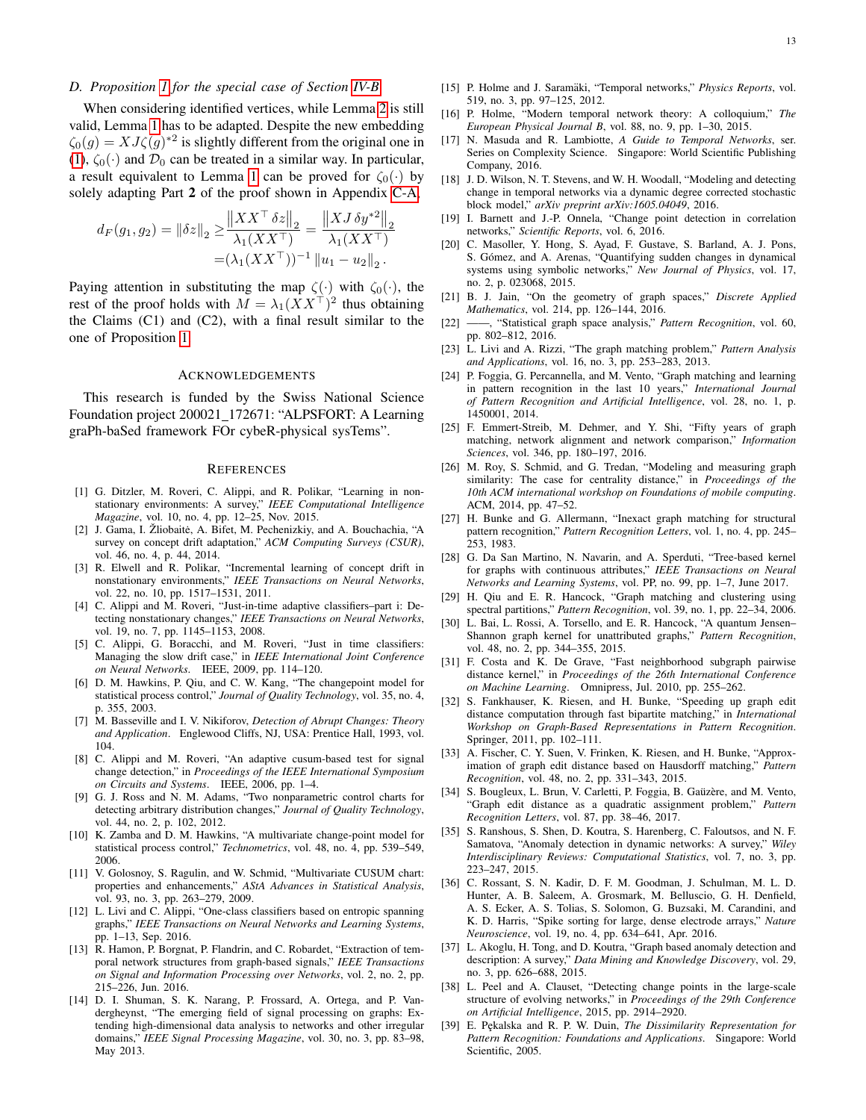## <span id="page-12-37"></span>*D. Proposition [1](#page-4-1) for the special case of Section [IV-B](#page-5-0)*

When considering identified vertices, while Lemma [2](#page-4-3) is still valid, Lemma [1](#page-4-2) has to be adapted. Despite the new embedding  $\zeta_0(g) = X J \zeta(g)^{*2}$  is slightly different from the original one in [\(1\)](#page-2-5),  $\zeta_0(\cdot)$  and  $\mathcal{D}_0$  can be treated in a similar way. In particular, a result equivalent to Lemma [1](#page-4-2) can be proved for  $\zeta_0(\cdot)$  by solely adapting Part 2 of the proof shown in Appendix [C-A,](#page-10-3)

$$
d_F(g_1, g_2) = ||\delta z||_2 \ge \frac{||XX^\top \delta z||_2}{\lambda_1 (XX^\top)} = \frac{||XJ \delta y^{*2}||_2}{\lambda_1 (XX^\top)} = (\lambda_1 (XX^\top))^{-1} ||u_1 - u_2||_2.
$$

Paying attention in substituting the map  $\zeta(\cdot)$  with  $\zeta_0(\cdot)$ , the rest of the proof holds with  $M = \lambda_1 (XX^{\top})^2$  thus obtaining the Claims  $(C1)$  and  $(C2)$ , with a final result similar to the one of Proposition [1.](#page-4-1)

#### ACKNOWLEDGEMENTS

This research is funded by the Swiss National Science Foundation project 200021 172671: "ALPSFORT: A Learning graPh-baSed framework FOr cybeR-physical sysTems".

#### **REFERENCES**

- <span id="page-12-0"></span>[1] G. Ditzler, M. Roveri, C. Alippi, and R. Polikar, "Learning in nonstationary environments: A survey," *IEEE Computational Intelligence Magazine*, vol. 10, no. 4, pp. 12–25, Nov. 2015.
- <span id="page-12-1"></span>[2] J. Gama, I. Žliobaitė, A. Bifet, M. Pechenizkiy, and A. Bouchachia, "A survey on concept drift adaptation," *ACM Computing Surveys (CSUR)*, vol. 46, no. 4, p. 44, 2014.
- <span id="page-12-2"></span>[3] R. Elwell and R. Polikar, "Incremental learning of concept drift in nonstationary environments," *IEEE Transactions on Neural Networks*, vol. 22, no. 10, pp. 1517–1531, 2011.
- <span id="page-12-3"></span>[4] C. Alippi and M. Roveri, "Just-in-time adaptive classifiers–part i: Detecting nonstationary changes," *IEEE Transactions on Neural Networks*, vol. 19, no. 7, pp. 1145–1153, 2008.
- <span id="page-12-4"></span>[5] C. Alippi, G. Boracchi, and M. Roveri, "Just in time classifiers: Managing the slow drift case," in *IEEE International Joint Conference on Neural Networks*. IEEE, 2009, pp. 114–120.
- <span id="page-12-5"></span>[6] D. M. Hawkins, P. Qiu, and C. W. Kang, "The changepoint model for statistical process control," *Journal of Quality Technology*, vol. 35, no. 4, p. 355, 2003.
- <span id="page-12-6"></span>[7] M. Basseville and I. V. Nikiforov, *Detection of Abrupt Changes: Theory and Application*. Englewood Cliffs, NJ, USA: Prentice Hall, 1993, vol. 104.
- <span id="page-12-7"></span>[8] C. Alippi and M. Roveri, "An adaptive cusum-based test for signal change detection," in *Proceedings of the IEEE International Symposium on Circuits and Systems*. IEEE, 2006, pp. 1–4.
- <span id="page-12-8"></span>[9] G. J. Ross and N. M. Adams, "Two nonparametric control charts for detecting arbitrary distribution changes," *Journal of Quality Technology*, vol. 44, no. 2, p. 102, 2012.
- <span id="page-12-9"></span>[10] K. Zamba and D. M. Hawkins, "A multivariate change-point model for statistical process control," *Technometrics*, vol. 48, no. 4, pp. 539–549, 2006.
- <span id="page-12-10"></span>[11] V. Golosnoy, S. Ragulin, and W. Schmid, "Multivariate CUSUM chart: properties and enhancements," *AStA Advances in Statistical Analysis*, vol. 93, no. 3, pp. 263–279, 2009.
- <span id="page-12-11"></span>[12] L. Livi and C. Alippi, "One-class classifiers based on entropic spanning graphs," *IEEE Transactions on Neural Networks and Learning Systems*, pp. 1–13, Sep. 2016.
- <span id="page-12-12"></span>[13] R. Hamon, P. Borgnat, P. Flandrin, and C. Robardet, "Extraction of temporal network structures from graph-based signals," *IEEE Transactions on Signal and Information Processing over Networks*, vol. 2, no. 2, pp. 215–226, Jun. 2016.
- <span id="page-12-13"></span>[14] D. I. Shuman, S. K. Narang, P. Frossard, A. Ortega, and P. Vandergheynst, "The emerging field of signal processing on graphs: Extending high-dimensional data analysis to networks and other irregular domains," *IEEE Signal Processing Magazine*, vol. 30, no. 3, pp. 83–98, May 2013.
- <span id="page-12-14"></span>[15] P. Holme and J. Saramäki, "Temporal networks," *Physics Reports*, vol. 519, no. 3, pp. 97–125, 2012.
- <span id="page-12-32"></span>[16] P. Holme, "Modern temporal network theory: A colloquium," *The European Physical Journal B*, vol. 88, no. 9, pp. 1–30, 2015.
- <span id="page-12-15"></span>[17] N. Masuda and R. Lambiotte, *A Guide to Temporal Networks*, ser. Series on Complexity Science. Singapore: World Scientific Publishing Company, 2016.
- <span id="page-12-16"></span>[18] J. D. Wilson, N. T. Stevens, and W. H. Woodall, "Modeling and detecting change in temporal networks via a dynamic degree corrected stochastic block model," *arXiv preprint arXiv:1605.04049*, 2016.
- <span id="page-12-34"></span>[19] I. Barnett and J.-P. Onnela, "Change point detection in correlation networks," *Scientific Reports*, vol. 6, 2016.
- <span id="page-12-17"></span>[20] C. Masoller, Y. Hong, S. Ayad, F. Gustave, S. Barland, A. J. Pons, S. Gómez, and A. Arenas, "Quantifying sudden changes in dynamical systems using symbolic networks," *New Journal of Physics*, vol. 17, no. 2, p. 023068, 2015.
- <span id="page-12-18"></span>[21] B. J. Jain, "On the geometry of graph spaces," *Discrete Applied Mathematics*, vol. 214, pp. 126–144, 2016.
- <span id="page-12-19"></span>[22] ——, "Statistical graph space analysis," *Pattern Recognition*, vol. 60, pp. 802–812, 2016.
- <span id="page-12-20"></span>[23] L. Livi and A. Rizzi, "The graph matching problem," *Pattern Analysis and Applications*, vol. 16, no. 3, pp. 253–283, 2013.
- <span id="page-12-21"></span>[24] P. Foggia, G. Percannella, and M. Vento, "Graph matching and learning in pattern recognition in the last 10 years," *International Journal of Pattern Recognition and Artificial Intelligence*, vol. 28, no. 1, p. 1450001, 2014.
- [25] F. Emmert-Streib, M. Dehmer, and Y. Shi, "Fifty years of graph matching, network alignment and network comparison," *Information Sciences*, vol. 346, pp. 180–197, 2016.
- <span id="page-12-22"></span>[26] M. Roy, S. Schmid, and G. Tredan, "Modeling and measuring graph similarity: The case for centrality distance," in *Proceedings of the 10th ACM international workshop on Foundations of mobile computing*. ACM, 2014, pp. 47–52.
- <span id="page-12-23"></span>[27] H. Bunke and G. Allermann, "Inexact graph matching for structural pattern recognition," *Pattern Recognition Letters*, vol. 1, no. 4, pp. 245– 253, 1983.
- <span id="page-12-24"></span>[28] G. Da San Martino, N. Navarin, and A. Sperduti, "Tree-based kernel for graphs with continuous attributes," *IEEE Transactions on Neural Networks and Learning Systems*, vol. PP, no. 99, pp. 1–7, June 2017.
- <span id="page-12-25"></span>[29] H. Qiu and E. R. Hancock, "Graph matching and clustering using spectral partitions," *Pattern Recognition*, vol. 39, no. 1, pp. 22–34, 2006.
- <span id="page-12-26"></span>[30] L. Bai, L. Rossi, A. Torsello, and E. R. Hancock, "A quantum Jensen-Shannon graph kernel for unattributed graphs," *Pattern Recognition*, vol. 48, no. 2, pp. 344–355, 2015.
- <span id="page-12-27"></span>[31] F. Costa and K. De Grave, "Fast neighborhood subgraph pairwise distance kernel," in *Proceedings of the 26th International Conference on Machine Learning*. Omnipress, Jul. 2010, pp. 255–262.
- <span id="page-12-28"></span>[32] S. Fankhauser, K. Riesen, and H. Bunke, "Speeding up graph edit distance computation through fast bipartite matching," in *International Workshop on Graph-Based Representations in Pattern Recognition*. Springer, 2011, pp. 102–111.
- [33] A. Fischer, C. Y. Suen, V. Frinken, K. Riesen, and H. Bunke, "Approximation of graph edit distance based on Hausdorff matching," *Pattern Recognition*, vol. 48, no. 2, pp. 331–343, 2015.
- <span id="page-12-29"></span>[34] S. Bougleux, L. Brun, V. Carletti, P. Foggia, B. Gaüzère, and M. Vento, "Graph edit distance as a quadratic assignment problem," *Pattern Recognition Letters*, vol. 87, pp. 38–46, 2017.
- <span id="page-12-30"></span>[35] S. Ranshous, S. Shen, D. Koutra, S. Harenberg, C. Faloutsos, and N. F. Samatova, "Anomaly detection in dynamic networks: A survey," *Wiley Interdisciplinary Reviews: Computational Statistics*, vol. 7, no. 3, pp. 223–247, 2015.
- <span id="page-12-31"></span>[36] C. Rossant, S. N. Kadir, D. F. M. Goodman, J. Schulman, M. L. D. Hunter, A. B. Saleem, A. Grosmark, M. Belluscio, G. H. Denfield, A. S. Ecker, A. S. Tolias, S. Solomon, G. Buzsaki, M. Carandini, and K. D. Harris, "Spike sorting for large, dense electrode arrays," *Nature Neuroscience*, vol. 19, no. 4, pp. 634–641, Apr. 2016.
- <span id="page-12-33"></span>[37] L. Akoglu, H. Tong, and D. Koutra, "Graph based anomaly detection and description: A survey," *Data Mining and Knowledge Discovery*, vol. 29, no. 3, pp. 626–688, 2015.
- <span id="page-12-35"></span>[38] L. Peel and A. Clauset, "Detecting change points in the large-scale structure of evolving networks," in *Proceedings of the 29th Conference on Artificial Intelligence*, 2015, pp. 2914–2920.
- <span id="page-12-36"></span>[39] E. Pękalska and R. P. W. Duin, *The Dissimilarity Representation for Pattern Recognition: Foundations and Applications*. Singapore: World Scientific, 2005.